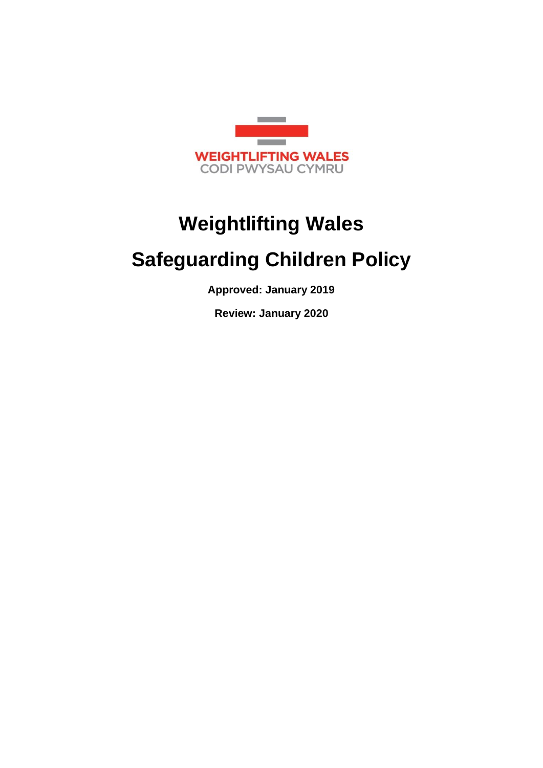

# **Weightlifting Wales**

# **Safeguarding Children Policy**

**Approved: January 2019**

**Review: January 2020**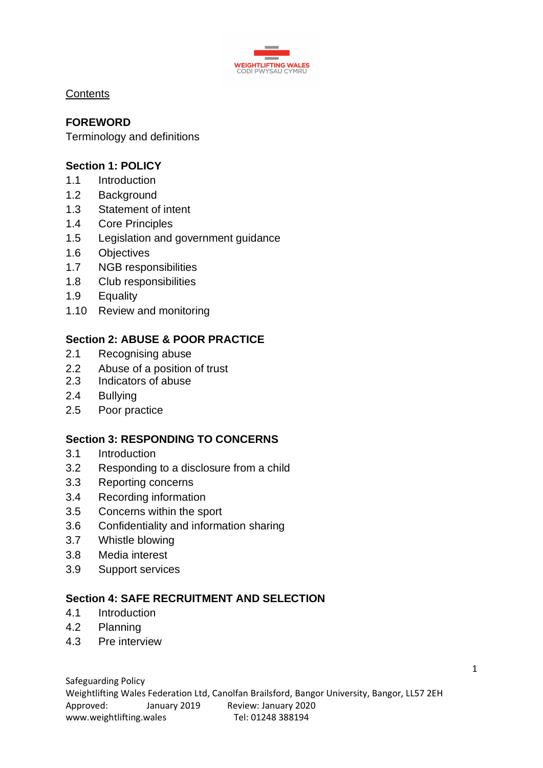

**Contents** 

# **FOREWORD**

Terminology and definitions

# **Section 1: POLICY**

- 1.1 Introduction
- 1.2 Background
- 1.3 Statement of intent
- 1.4 Core Principles
- 1.5 Legislation and government guidance
- 1.6 Objectives
- 1.7 NGB responsibilities
- 1.8 Club responsibilities
- 1.9 Equality
- 1.10 Review and monitoring

# **Section 2: ABUSE & POOR PRACTICE**

- 2.1 Recognising abuse
- 2.2 Abuse of a position of trust
- 2.3 Indicators of abuse
- 2.4 Bullying
- 2.5 Poor practice

## **Section 3: RESPONDING TO CONCERNS**

- 3.1 Introduction
- 3.2 Responding to a disclosure from a child
- 3.3 Reporting concerns
- 3.4 Recording information
- 3.5 Concerns within the sport
- 3.6 Confidentiality and information sharing
- 3.7 Whistle blowing
- 3.8 Media interest
- 3.9 Support services

## **Section 4: SAFE RECRUITMENT AND SELECTION**

- 4.1 Introduction
- 4.2 Planning
- 4.3 Pre interview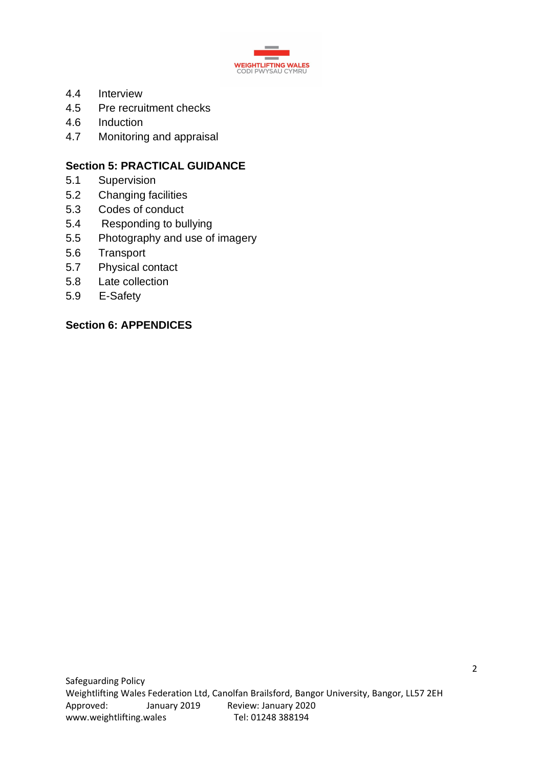

- 4.4 Interview
- 4.5 Pre recruitment checks
- 4.6 Induction
- 4.7 Monitoring and appraisal

# **Section 5: PRACTICAL GUIDANCE**

- 5.1 Supervision
- 5.2 Changing facilities
- 5.3 Codes of conduct
- 5.4 Responding to bullying
- 5.5 Photography and use of imagery
- 5.6 Transport
- 5.7 Physical contact
- 5.8 Late collection
- 5.9 E-Safety

## **Section 6: APPENDICES**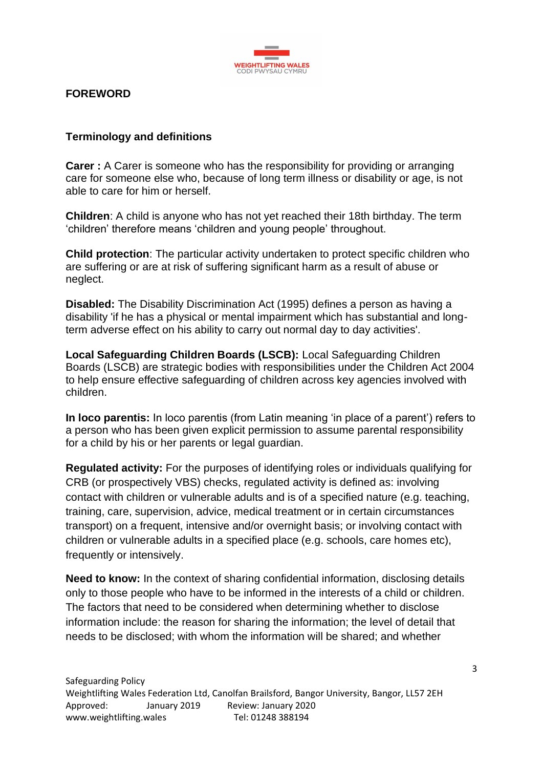

## **FOREWORD**

#### **Terminology and definitions**

**Carer :** A Carer is someone who has the responsibility for providing or arranging care for someone else who, because of long term illness or disability or age, is not able to care for him or herself.

**Children**: A child is anyone who has not yet reached their 18th birthday. The term 'children' therefore means 'children and young people' throughout.

**Child protection**: The particular activity undertaken to protect specific children who are suffering or are at risk of suffering significant harm as a result of abuse or neglect.

**Disabled:** The Disability Discrimination Act (1995) defines a person as having a disability 'if he has a physical or mental impairment which has substantial and longterm adverse effect on his ability to carry out normal day to day activities'.

**Local Safeguarding Children Boards (LSCB):** Local Safeguarding Children Boards (LSCB) are strategic bodies with responsibilities under the Children Act 2004 to help ensure effective safeguarding of children across key agencies involved with children.

**In loco parentis:** In loco parentis (from Latin meaning 'in place of a parent') refers to a person who has been given explicit permission to assume parental responsibility for a child by his or her parents or legal guardian.

**Regulated activity:** For the purposes of identifying roles or individuals qualifying for CRB (or prospectively VBS) checks, regulated activity is defined as: involving contact with children or vulnerable adults and is of a specified nature (e.g. teaching, training, care, supervision, advice, medical treatment or in certain circumstances transport) on a frequent, intensive and/or overnight basis; or involving contact with children or vulnerable adults in a specified place (e.g. schools, care homes etc), frequently or intensively.

**Need to know:** In the context of sharing confidential information, disclosing details only to those people who have to be informed in the interests of a child or children. The factors that need to be considered when determining whether to disclose information include: the reason for sharing the information; the level of detail that needs to be disclosed; with whom the information will be shared; and whether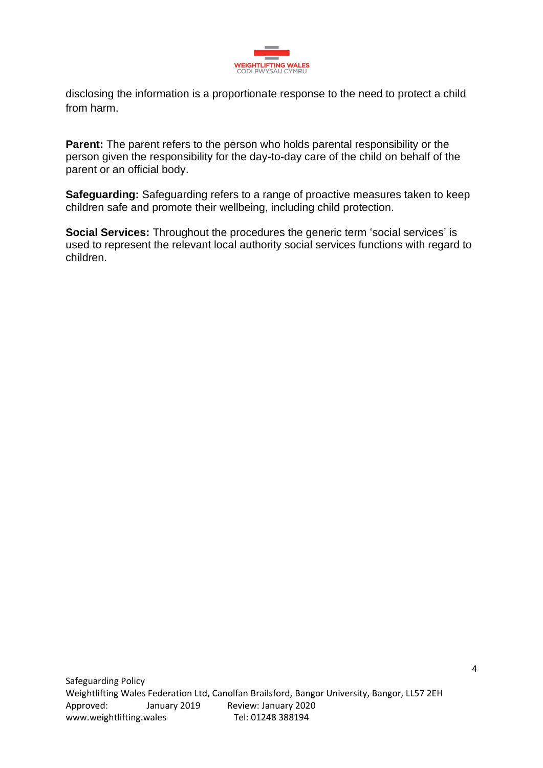

disclosing the information is a proportionate response to the need to protect a child from harm.

**Parent:** The parent refers to the person who holds parental responsibility or the person given the responsibility for the day-to-day care of the child on behalf of the parent or an official body.

**Safeguarding:** Safeguarding refers to a range of proactive measures taken to keep children safe and promote their wellbeing, including child protection.

**Social Services:** Throughout the procedures the generic term 'social services' is used to represent the relevant local authority social services functions with regard to children.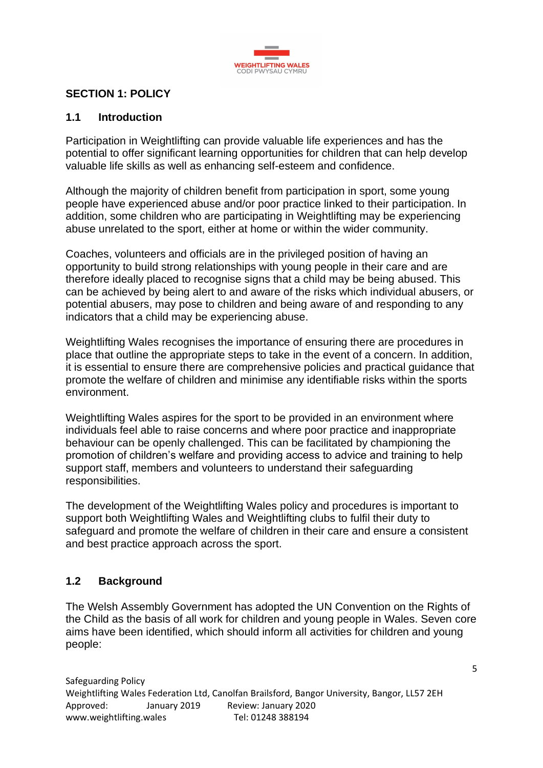

## **SECTION 1: POLICY**

#### **1.1 Introduction**

Participation in Weightlifting can provide valuable life experiences and has the potential to offer significant learning opportunities for children that can help develop valuable life skills as well as enhancing self-esteem and confidence.

Although the majority of children benefit from participation in sport, some young people have experienced abuse and/or poor practice linked to their participation. In addition, some children who are participating in Weightlifting may be experiencing abuse unrelated to the sport, either at home or within the wider community.

Coaches, volunteers and officials are in the privileged position of having an opportunity to build strong relationships with young people in their care and are therefore ideally placed to recognise signs that a child may be being abused. This can be achieved by being alert to and aware of the risks which individual abusers, or potential abusers, may pose to children and being aware of and responding to any indicators that a child may be experiencing abuse.

Weightlifting Wales recognises the importance of ensuring there are procedures in place that outline the appropriate steps to take in the event of a concern. In addition, it is essential to ensure there are comprehensive policies and practical guidance that promote the welfare of children and minimise any identifiable risks within the sports environment.

Weightlifting Wales aspires for the sport to be provided in an environment where individuals feel able to raise concerns and where poor practice and inappropriate behaviour can be openly challenged. This can be facilitated by championing the promotion of children's welfare and providing access to advice and training to help support staff, members and volunteers to understand their safeguarding responsibilities.

The development of the Weightlifting Wales policy and procedures is important to support both Weightlifting Wales and Weightlifting clubs to fulfil their duty to safeguard and promote the welfare of children in their care and ensure a consistent and best practice approach across the sport.

## **1.2 Background**

The Welsh Assembly Government has adopted the UN Convention on the Rights of the Child as the basis of all work for children and young people in Wales. Seven core aims have been identified, which should inform all activities for children and young people: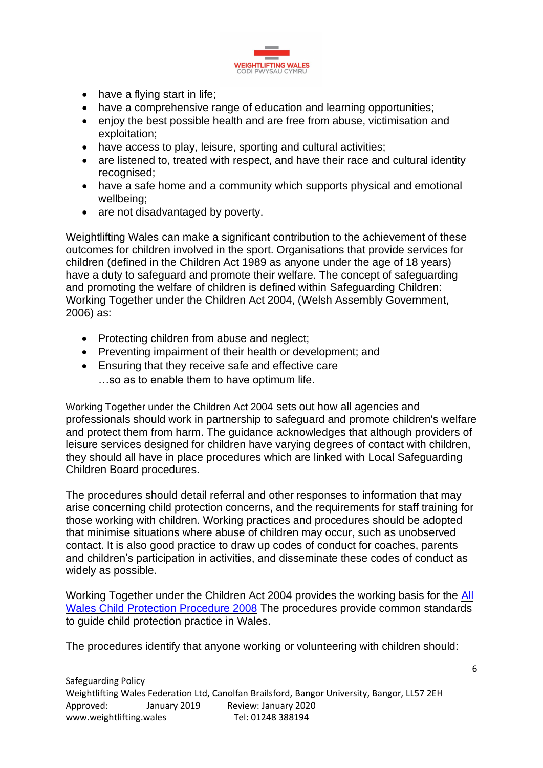

- have a flying start in life;
- have a comprehensive range of education and learning opportunities;
- enjoy the best possible health and are free from abuse, victimisation and exploitation;
- have access to play, leisure, sporting and cultural activities;
- are listened to, treated with respect, and have their race and cultural identity recognised;
- have a safe home and a community which supports physical and emotional wellbeing;
- are not disadvantaged by poverty.

Weightlifting Wales can make a significant contribution to the achievement of these outcomes for children involved in the sport. Organisations that provide services for children (defined in the Children Act 1989 as anyone under the age of 18 years) have a duty to safeguard and promote their welfare. The concept of safeguarding and promoting the welfare of children is defined within Safeguarding Children: Working Together under the Children Act 2004, (Welsh Assembly Government, 2006) as:

- Protecting children from abuse and neglect;
- Preventing impairment of their health or development; and
- Ensuring that they receive safe and effective care
	- …so as to enable them to have optimum life.

[Working Together under the Children Act 2004](http://wales.gov.uk/topics/childrenyoungpeople/publications/safeguardingunder2004act/?lang=en) sets out how all agencies and professionals should work in partnership to safeguard and promote children's welfare and protect them from harm. The guidance acknowledges that although providers of leisure services designed for children have varying degrees of contact with children, they should all have in place procedures which are linked with Local Safeguarding Children Board procedures.

The procedures should detail referral and other responses to information that may arise concerning child protection concerns, and the requirements for staff training for those working with children. Working practices and procedures should be adopted that minimise situations where abuse of children may occur, such as unobserved contact. It is also good practice to draw up codes of conduct for coaches, parents and children's participation in activities, and disseminate these codes of conduct as widely as possible.

Working Together under the Children Act 2004 provides the working basis for the [All](http://www.childreninwales.org.uk/policy-document/wales-child-protection-procedures-2008/)  [Wales Child Protection Procedure 2008](http://www.childreninwales.org.uk/policy-document/wales-child-protection-procedures-2008/) The procedures provide common standards to guide child protection practice in Wales.

The procedures identify that anyone working or volunteering with children should: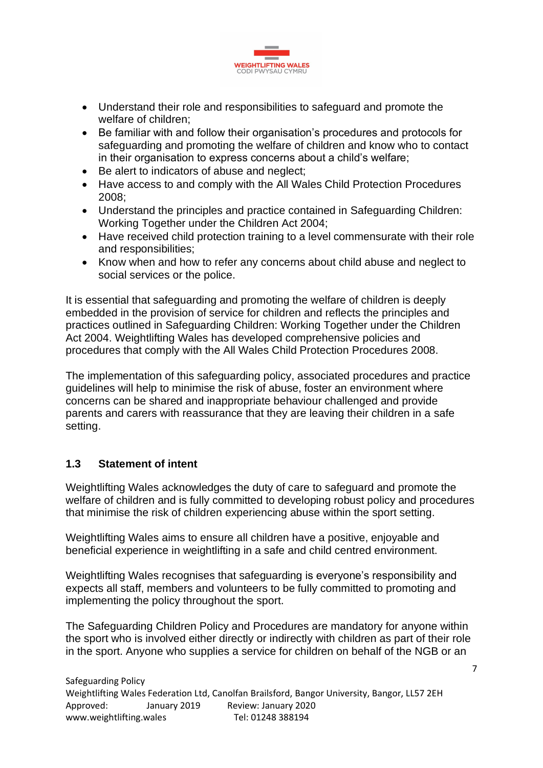

- Understand their role and responsibilities to safeguard and promote the welfare of children;
- Be familiar with and follow their organisation's procedures and protocols for safeguarding and promoting the welfare of children and know who to contact in their organisation to express concerns about a child's welfare;
- Be alert to indicators of abuse and neglect;
- Have access to and comply with the All Wales Child Protection Procedures 2008;
- Understand the principles and practice contained in Safeguarding Children: Working Together under the Children Act 2004;
- Have received child protection training to a level commensurate with their role and responsibilities;
- Know when and how to refer any concerns about child abuse and neglect to social services or the police.

It is essential that safeguarding and promoting the welfare of children is deeply embedded in the provision of service for children and reflects the principles and practices outlined in Safeguarding Children: Working Together under the Children Act 2004. Weightlifting Wales has developed comprehensive policies and procedures that comply with the All Wales Child Protection Procedures 2008.

The implementation of this safeguarding policy, associated procedures and practice guidelines will help to minimise the risk of abuse, foster an environment where concerns can be shared and inappropriate behaviour challenged and provide parents and carers with reassurance that they are leaving their children in a safe setting.

## **1.3 Statement of intent**

Weightlifting Wales acknowledges the duty of care to safeguard and promote the welfare of children and is fully committed to developing robust policy and procedures that minimise the risk of children experiencing abuse within the sport setting.

Weightlifting Wales aims to ensure all children have a positive, enjoyable and beneficial experience in weightlifting in a safe and child centred environment.

Weightlifting Wales recognises that safeguarding is everyone's responsibility and expects all staff, members and volunteers to be fully committed to promoting and implementing the policy throughout the sport.

The Safeguarding Children Policy and Procedures are mandatory for anyone within the sport who is involved either directly or indirectly with children as part of their role in the sport. Anyone who supplies a service for children on behalf of the NGB or an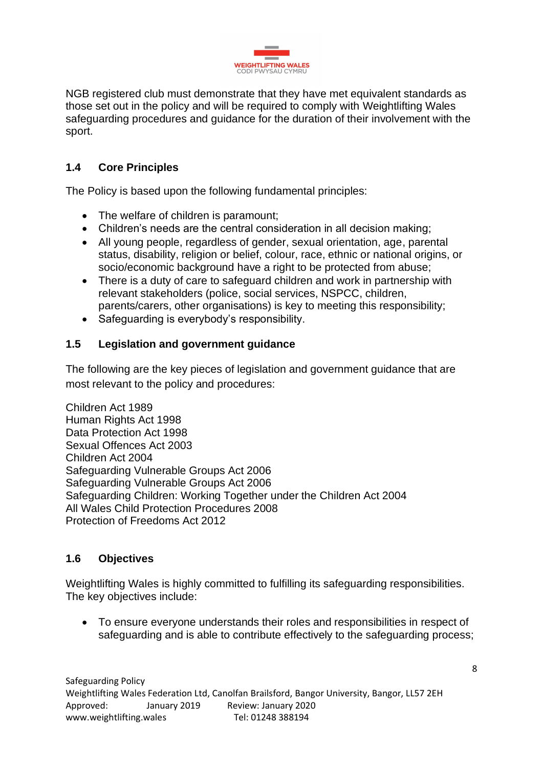

NGB registered club must demonstrate that they have met equivalent standards as those set out in the policy and will be required to comply with Weightlifting Wales safeguarding procedures and guidance for the duration of their involvement with the sport.

# **1.4 Core Principles**

The Policy is based upon the following fundamental principles:

- The welfare of children is paramount;
- Children's needs are the central consideration in all decision making;
- All young people, regardless of gender, sexual orientation, age, parental status, disability, religion or belief, colour, race, ethnic or national origins, or socio/economic background have a right to be protected from abuse;
- There is a duty of care to safeguard children and work in partnership with relevant stakeholders (police, social services, NSPCC, children, parents/carers, other organisations) is key to meeting this responsibility;
- Safeguarding is everybody's responsibility.

## **1.5 Legislation and government guidance**

The following are the key pieces of legislation and government guidance that are most relevant to the policy and procedures:

Children Act 1989 Human Rights Act 1998 Data Protection Act 1998 Sexual Offences Act 2003 Children Act 2004 Safeguarding Vulnerable Groups Act 2006 Safeguarding Vulnerable Groups Act 2006 Safeguarding Children: Working Together under the Children Act 2004 All Wales Child Protection Procedures 2008 Protection of Freedoms Act 2012

#### **1.6 Objectives**

Weightlifting Wales is highly committed to fulfilling its safeguarding responsibilities. The key objectives include:

• To ensure everyone understands their roles and responsibilities in respect of safeguarding and is able to contribute effectively to the safeguarding process;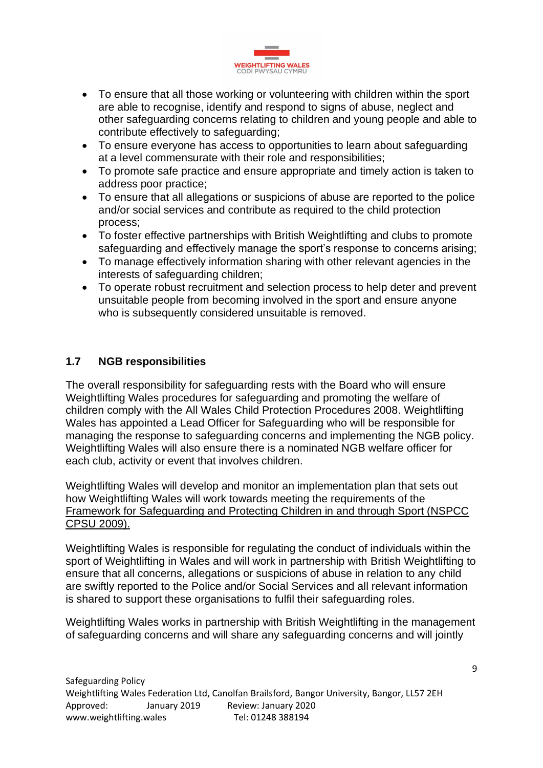

- To ensure that all those working or volunteering with children within the sport are able to recognise, identify and respond to signs of abuse, neglect and other safeguarding concerns relating to children and young people and able to contribute effectively to safeguarding;
- To ensure everyone has access to opportunities to learn about safeguarding at a level commensurate with their role and responsibilities;
- To promote safe practice and ensure appropriate and timely action is taken to address poor practice;
- To ensure that all allegations or suspicions of abuse are reported to the police and/or social services and contribute as required to the child protection process;
- To foster effective partnerships with British Weightlifting and clubs to promote safeguarding and effectively manage the sport's response to concerns arising;
- To manage effectively information sharing with other relevant agencies in the interests of safeguarding children;
- To operate robust recruitment and selection process to help deter and prevent unsuitable people from becoming involved in the sport and ensure anyone who is subsequently considered unsuitable is removed.

## **1.7 NGB responsibilities**

The overall responsibility for safeguarding rests with the Board who will ensure Weightlifting Wales procedures for safeguarding and promoting the welfare of children comply with the All Wales Child Protection Procedures 2008. Weightlifting Wales has appointed a Lead Officer for Safeguarding who will be responsible for managing the response to safeguarding concerns and implementing the NGB policy. Weightlifting Wales will also ensure there is a nominated NGB welfare officer for each club, activity or event that involves children.

Weightlifting Wales will develop and monitor an implementation plan that sets out how Weightlifting Wales will work towards meeting the requirements of the [Framework for Safeguarding and Protecting Children in and through Sport \(NSPCC](https://thecpsu.org.uk/resource-library/2013/a-framework-for-safeguarding-and-protecting-children-in-and-through-sport-in-wales/)  [CPSU 2009\).](https://thecpsu.org.uk/resource-library/2013/a-framework-for-safeguarding-and-protecting-children-in-and-through-sport-in-wales/)

Weightlifting Wales is responsible for regulating the conduct of individuals within the sport of Weightlifting in Wales and will work in partnership with British Weightlifting to ensure that all concerns, allegations or suspicions of abuse in relation to any child are swiftly reported to the Police and/or Social Services and all relevant information is shared to support these organisations to fulfil their safeguarding roles.

Weightlifting Wales works in partnership with British Weightlifting in the management of safeguarding concerns and will share any safeguarding concerns and will jointly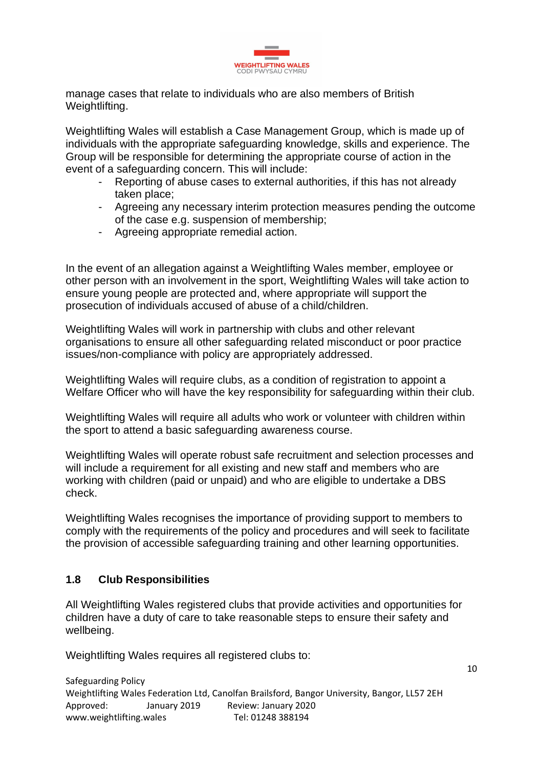

manage cases that relate to individuals who are also members of British Weightlifting.

Weightlifting Wales will establish a Case Management Group, which is made up of individuals with the appropriate safeguarding knowledge, skills and experience. The Group will be responsible for determining the appropriate course of action in the event of a safeguarding concern. This will include:

- Reporting of abuse cases to external authorities, if this has not already taken place;
- Agreeing any necessary interim protection measures pending the outcome of the case e.g. suspension of membership;
- Agreeing appropriate remedial action.

In the event of an allegation against a Weightlifting Wales member, employee or other person with an involvement in the sport, Weightlifting Wales will take action to ensure young people are protected and, where appropriate will support the prosecution of individuals accused of abuse of a child/children.

Weightlifting Wales will work in partnership with clubs and other relevant organisations to ensure all other safeguarding related misconduct or poor practice issues/non-compliance with policy are appropriately addressed.

Weightlifting Wales will require clubs, as a condition of registration to appoint a Welfare Officer who will have the key responsibility for safeguarding within their club.

Weightlifting Wales will require all adults who work or volunteer with children within the sport to attend a basic safeguarding awareness course.

Weightlifting Wales will operate robust safe recruitment and selection processes and will include a requirement for all existing and new staff and members who are working with children (paid or unpaid) and who are eligible to undertake a DBS check.

Weightlifting Wales recognises the importance of providing support to members to comply with the requirements of the policy and procedures and will seek to facilitate the provision of accessible safeguarding training and other learning opportunities.

#### **1.8 Club Responsibilities**

All Weightlifting Wales registered clubs that provide activities and opportunities for children have a duty of care to take reasonable steps to ensure their safety and wellbeing.

Weightlifting Wales requires all registered clubs to: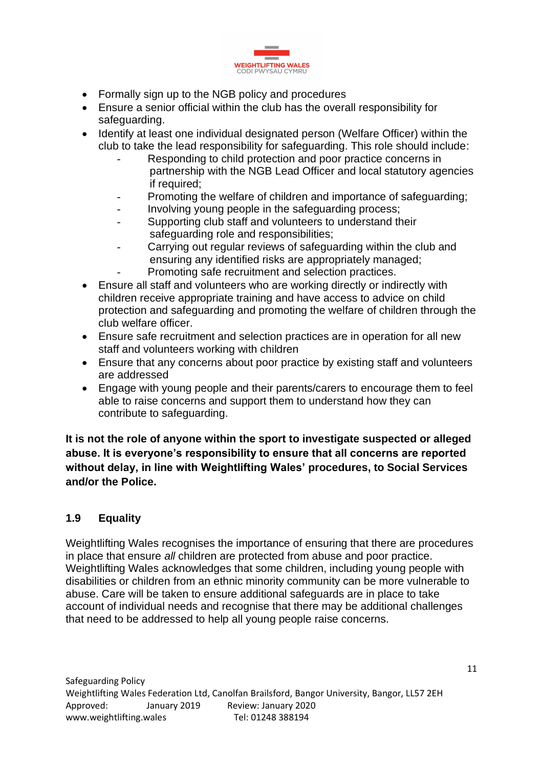

- Formally sign up to the NGB policy and procedures
- Ensure a senior official within the club has the overall responsibility for safeguarding.
- Identify at least one individual designated person (Welfare Officer) within the club to take the lead responsibility for safeguarding. This role should include:
	- Responding to child protection and poor practice concerns in partnership with the NGB Lead Officer and local statutory agencies if required;
	- Promoting the welfare of children and importance of safeguarding:
	- Involving young people in the safeguarding process;
	- Supporting club staff and volunteers to understand their safeguarding role and responsibilities;
	- Carrying out regular reviews of safeguarding within the club and ensuring any identified risks are appropriately managed; Promoting safe recruitment and selection practices.
- Ensure all staff and volunteers who are working directly or indirectly with children receive appropriate training and have access to advice on child protection and safeguarding and promoting the welfare of children through the club welfare officer.
- Ensure safe recruitment and selection practices are in operation for all new staff and volunteers working with children
- Ensure that any concerns about poor practice by existing staff and volunteers are addressed
- Engage with young people and their parents/carers to encourage them to feel able to raise concerns and support them to understand how they can contribute to safeguarding.

**It is not the role of anyone within the sport to investigate suspected or alleged abuse. It is everyone's responsibility to ensure that all concerns are reported without delay, in line with Weightlifting Wales' procedures, to Social Services and/or the Police.**

# **1.9 Equality**

Weightlifting Wales recognises the importance of ensuring that there are procedures in place that ensure *all* children are protected from abuse and poor practice. Weightlifting Wales acknowledges that some children, including young people with disabilities or children from an ethnic minority community can be more vulnerable to abuse. Care will be taken to ensure additional safeguards are in place to take account of individual needs and recognise that there may be additional challenges that need to be addressed to help all young people raise concerns.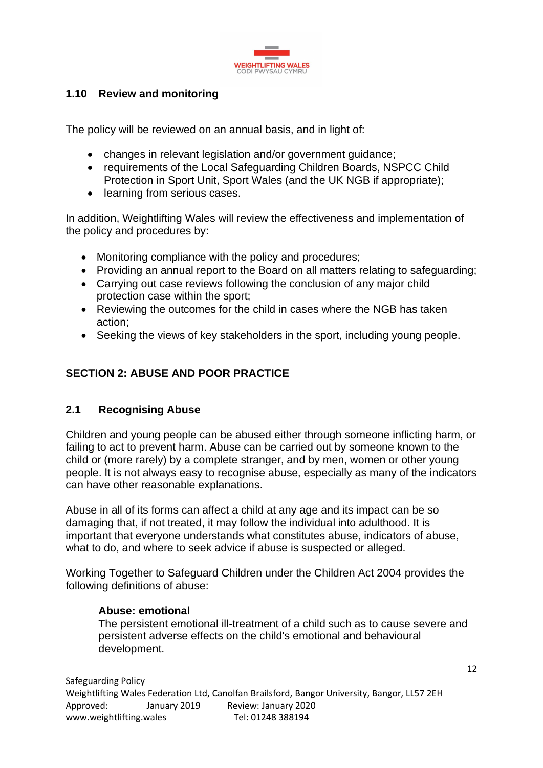

## **1.10 Review and monitoring**

The policy will be reviewed on an annual basis, and in light of:

- changes in relevant legislation and/or government guidance;
- requirements of the Local Safeguarding Children Boards, NSPCC Child Protection in Sport Unit, Sport Wales (and the UK NGB if appropriate);
- learning from serious cases.

In addition, Weightlifting Wales will review the effectiveness and implementation of the policy and procedures by:

- Monitoring compliance with the policy and procedures;
- Providing an annual report to the Board on all matters relating to safeguarding;
- Carrying out case reviews following the conclusion of any major child protection case within the sport;
- Reviewing the outcomes for the child in cases where the NGB has taken action;
- Seeking the views of key stakeholders in the sport, including young people.

# **SECTION 2: ABUSE AND POOR PRACTICE**

#### **2.1 Recognising Abuse**

Children and young people can be abused either through someone inflicting harm, or failing to act to prevent harm. Abuse can be carried out by someone known to the child or (more rarely) by a complete stranger, and by men, women or other young people. It is not always easy to recognise abuse, especially as many of the indicators can have other reasonable explanations.

Abuse in all of its forms can affect a child at any age and its impact can be so damaging that, if not treated, it may follow the individual into adulthood. It is important that everyone understands what constitutes abuse, indicators of abuse, what to do, and where to seek advice if abuse is suspected or alleged.

Working Together to Safeguard Children under the Children Act 2004 provides the following definitions of abuse:

#### **Abuse: emotional**

The persistent emotional ill-treatment of a child such as to cause severe and persistent adverse effects on the child's emotional and behavioural development.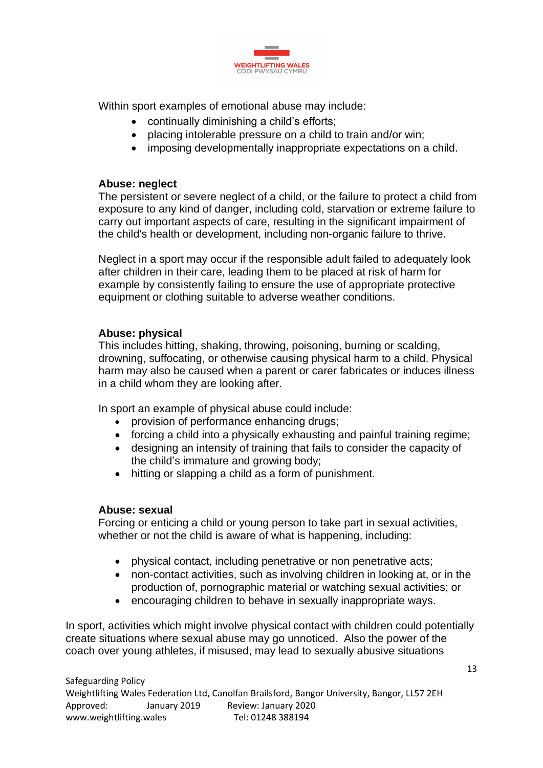

Within sport examples of emotional abuse may include:

- continually diminishing a child's efforts;
- placing intolerable pressure on a child to train and/or win;
- imposing developmentally inappropriate expectations on a child.

#### **Abuse: neglect**

The persistent or severe neglect of a child, or the failure to protect a child from exposure to any kind of danger, including cold, starvation or extreme failure to carry out important aspects of care, resulting in the significant impairment of the child's health or development, including non-organic failure to thrive.

Neglect in a sport may occur if the responsible adult failed to adequately look after children in their care, leading them to be placed at risk of harm for example by consistently failing to ensure the use of appropriate protective equipment or clothing suitable to adverse weather conditions.

### **Abuse: physical**

This includes hitting, shaking, throwing, poisoning, burning or scalding, drowning, suffocating, or otherwise causing physical harm to a child. Physical harm may also be caused when a parent or carer fabricates or induces illness in a child whom they are looking after.

In sport an example of physical abuse could include:

- provision of performance enhancing drugs;
- forcing a child into a physically exhausting and painful training regime;
- designing an intensity of training that fails to consider the capacity of the child's immature and growing body;
- hitting or slapping a child as a form of punishment.

## **Abuse: sexual**

Forcing or enticing a child or young person to take part in sexual activities, whether or not the child is aware of what is happening, including:

- physical contact, including penetrative or non penetrative acts;
- non-contact activities, such as involving children in looking at, or in the production of, pornographic material or watching sexual activities; or
- encouraging children to behave in sexually inappropriate ways.

In sport, activities which might involve physical contact with children could potentially create situations where sexual abuse may go unnoticed. Also the power of the coach over young athletes, if misused, may lead to sexually abusive situations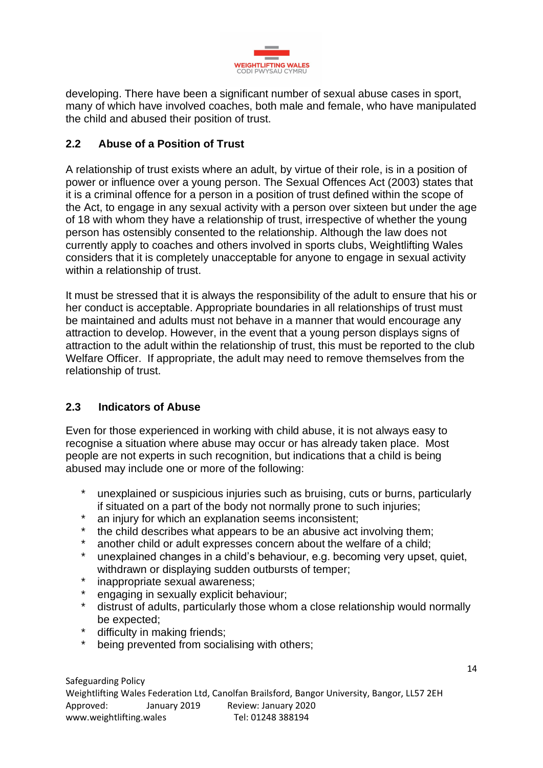

developing. There have been a significant number of sexual abuse cases in sport, many of which have involved coaches, both male and female, who have manipulated the child and abused their position of trust.

# **2.2 Abuse of a Position of Trust**

A relationship of trust exists where an adult, by virtue of their role, is in a position of power or influence over a young person. The Sexual Offences Act (2003) states that it is a criminal offence for a person in a position of trust defined within the scope of the Act, to engage in any sexual activity with a person over sixteen but under the age of 18 with whom they have a relationship of trust, irrespective of whether the young person has ostensibly consented to the relationship. Although the law does not currently apply to coaches and others involved in sports clubs, Weightlifting Wales considers that it is completely unacceptable for anyone to engage in sexual activity within a relationship of trust.

It must be stressed that it is always the responsibility of the adult to ensure that his or her conduct is acceptable. Appropriate boundaries in all relationships of trust must be maintained and adults must not behave in a manner that would encourage any attraction to develop. However, in the event that a young person displays signs of attraction to the adult within the relationship of trust, this must be reported to the club Welfare Officer. If appropriate, the adult may need to remove themselves from the relationship of trust.

## **2.3 Indicators of Abuse**

Even for those experienced in working with child abuse, it is not always easy to recognise a situation where abuse may occur or has already taken place. Most people are not experts in such recognition, but indications that a child is being abused may include one or more of the following:

- unexplained or suspicious injuries such as bruising, cuts or burns, particularly if situated on a part of the body not normally prone to such injuries;
- \* an injury for which an explanation seems inconsistent;<br>\* the child describes what annears to be an abusive act
- the child describes what appears to be an abusive act involving them;
- \* another child or adult expresses concern about the welfare of a child;<br>\* unexplained changes in a child's behaviour, e.g. becoming very unset
- unexplained changes in a child's behaviour, e.g. becoming very upset, quiet, withdrawn or displaying sudden outbursts of temper;
- \* inappropriate sexual awareness;
- engaging in sexually explicit behaviour;
- \* distrust of adults, particularly those whom a close relationship would normally be expected;
- \* difficulty in making friends;
- being prevented from socialising with others;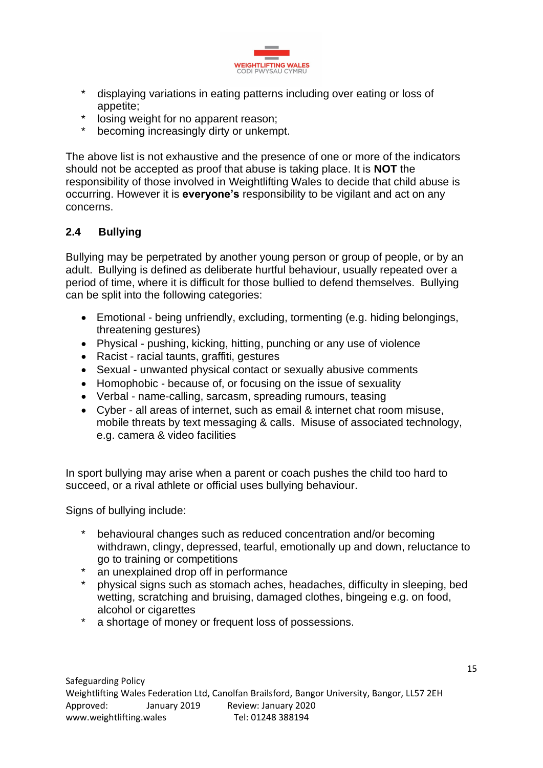

- \* displaying variations in eating patterns including over eating or loss of appetite;
- \* losing weight for no apparent reason;<br>\* becoming increasingly dirty or unkemi
- becoming increasingly dirty or unkempt.

The above list is not exhaustive and the presence of one or more of the indicators should not be accepted as proof that abuse is taking place. It is **NOT** the responsibility of those involved in Weightlifting Wales to decide that child abuse is occurring. However it is **everyone's** responsibility to be vigilant and act on any concerns.

## **2.4 Bullying**

Bullying may be perpetrated by another young person or group of people, or by an adult. Bullying is defined as deliberate hurtful behaviour, usually repeated over a period of time, where it is difficult for those bullied to defend themselves. Bullying can be split into the following categories:

- Emotional being unfriendly, excluding, tormenting (e.g. hiding belongings, threatening gestures)
- Physical pushing, kicking, hitting, punching or any use of violence
- Racist racial taunts, graffiti, gestures
- Sexual unwanted physical contact or sexually abusive comments
- Homophobic because of, or focusing on the issue of sexuality
- Verbal name-calling, sarcasm, spreading rumours, teasing
- Cyber all areas of internet, such as email & internet chat room misuse, mobile threats by text messaging & calls. Misuse of associated technology, e.g. camera & video facilities

In sport bullying may arise when a parent or coach pushes the child too hard to succeed, or a rival athlete or official uses bullying behaviour.

Signs of bullying include:

- behavioural changes such as reduced concentration and/or becoming withdrawn, clingy, depressed, tearful, emotionally up and down, reluctance to go to training or competitions
- \* an unexplained drop off in performance
- \* physical signs such as stomach aches, headaches, difficulty in sleeping, bed wetting, scratching and bruising, damaged clothes, bingeing e.g. on food, alcohol or cigarettes
- \* a shortage of money or frequent loss of possessions.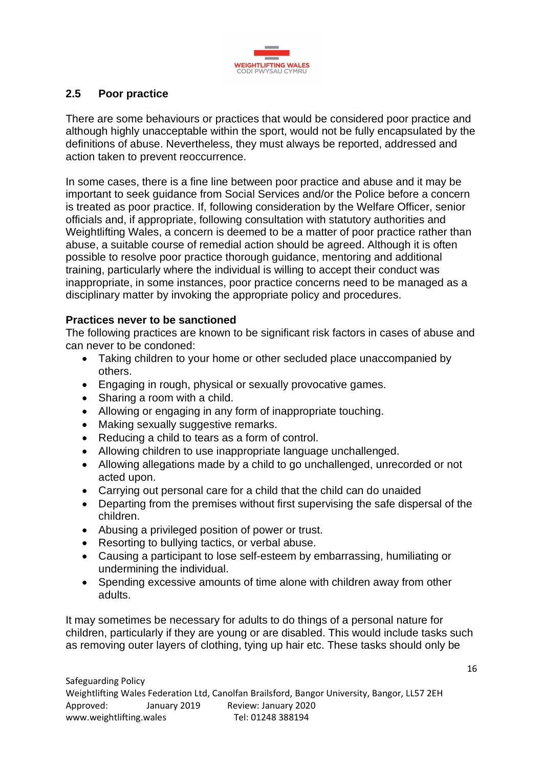

### **2.5 Poor practice**

There are some behaviours or practices that would be considered poor practice and although highly unacceptable within the sport, would not be fully encapsulated by the definitions of abuse. Nevertheless, they must always be reported, addressed and action taken to prevent reoccurrence.

In some cases, there is a fine line between poor practice and abuse and it may be important to seek guidance from Social Services and/or the Police before a concern is treated as poor practice. If, following consideration by the Welfare Officer, senior officials and, if appropriate, following consultation with statutory authorities and Weightlifting Wales, a concern is deemed to be a matter of poor practice rather than abuse, a suitable course of remedial action should be agreed. Although it is often possible to resolve poor practice thorough guidance, mentoring and additional training, particularly where the individual is willing to accept their conduct was inappropriate, in some instances, poor practice concerns need to be managed as a disciplinary matter by invoking the appropriate policy and procedures.

#### **Practices never to be sanctioned**

The following practices are known to be significant risk factors in cases of abuse and can never to be condoned:

- Taking children to your home or other secluded place unaccompanied by others.
- Engaging in rough, physical or sexually provocative games.
- Sharing a room with a child.
- Allowing or engaging in any form of inappropriate touching.
- Making sexually suggestive remarks.
- Reducing a child to tears as a form of control.
- Allowing children to use inappropriate language unchallenged.
- Allowing allegations made by a child to go unchallenged, unrecorded or not acted upon.
- Carrying out personal care for a child that the child can do unaided
- Departing from the premises without first supervising the safe dispersal of the children.
- Abusing a privileged position of power or trust.
- Resorting to bullying tactics, or verbal abuse.
- Causing a participant to lose self-esteem by embarrassing, humiliating or undermining the individual.
- Spending excessive amounts of time alone with children away from other adults.

It may sometimes be necessary for adults to do things of a personal nature for children, particularly if they are young or are disabled. This would include tasks such as removing outer layers of clothing, tying up hair etc. These tasks should only be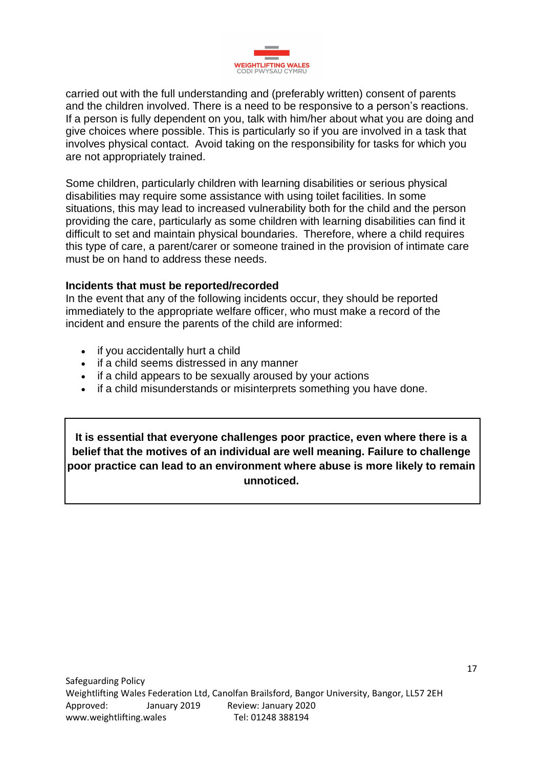

carried out with the full understanding and (preferably written) consent of parents and the children involved. There is a need to be responsive to a person's reactions. If a person is fully dependent on you, talk with him/her about what you are doing and give choices where possible. This is particularly so if you are involved in a task that involves physical contact. Avoid taking on the responsibility for tasks for which you are not appropriately trained.

Some children, particularly children with learning disabilities or serious physical disabilities may require some assistance with using toilet facilities. In some situations, this may lead to increased vulnerability both for the child and the person providing the care, particularly as some children with learning disabilities can find it difficult to set and maintain physical boundaries. Therefore, where a child requires this type of care, a parent/carer or someone trained in the provision of intimate care must be on hand to address these needs.

#### **Incidents that must be reported/recorded**

In the event that any of the following incidents occur, they should be reported immediately to the appropriate welfare officer, who must make a record of the incident and ensure the parents of the child are informed:

- if you accidentally hurt a child
- if a child seems distressed in any manner
- if a child appears to be sexually aroused by your actions
- if a child misunderstands or misinterprets something you have done.

**It is essential that everyone challenges poor practice, even where there is a belief that the motives of an individual are well meaning. Failure to challenge poor practice can lead to an environment where abuse is more likely to remain unnoticed.**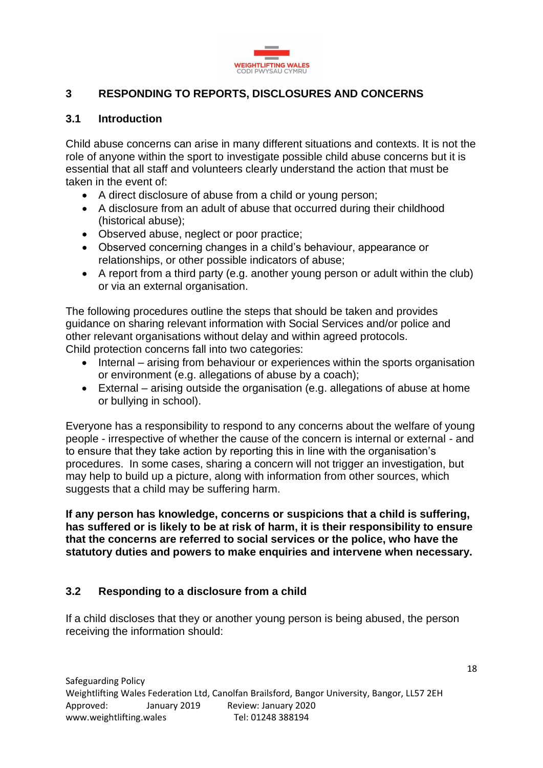

## **3 RESPONDING TO REPORTS, DISCLOSURES AND CONCERNS**

#### **3.1 Introduction**

Child abuse concerns can arise in many different situations and contexts. It is not the role of anyone within the sport to investigate possible child abuse concerns but it is essential that all staff and volunteers clearly understand the action that must be taken in the event of:

- A direct disclosure of abuse from a child or young person;
- A disclosure from an adult of abuse that occurred during their childhood (historical abuse);
- Observed abuse, neglect or poor practice;
- Observed concerning changes in a child's behaviour, appearance or relationships, or other possible indicators of abuse;
- A report from a third party (e.g. another young person or adult within the club) or via an external organisation.

The following procedures outline the steps that should be taken and provides guidance on sharing relevant information with Social Services and/or police and other relevant organisations without delay and within agreed protocols. Child protection concerns fall into two categories:

- Internal arising from behaviour or experiences within the sports organisation or environment (e.g. allegations of abuse by a coach);
- External arising outside the organisation (e.g. allegations of abuse at home or bullying in school).

Everyone has a responsibility to respond to any concerns about the welfare of young people - irrespective of whether the cause of the concern is internal or external - and to ensure that they take action by reporting this in line with the organisation's procedures. In some cases, sharing a concern will not trigger an investigation, but may help to build up a picture, along with information from other sources, which suggests that a child may be suffering harm.

**If any person has knowledge, concerns or suspicions that a child is suffering, has suffered or is likely to be at risk of harm, it is their responsibility to ensure that the concerns are referred to social services or the police, who have the statutory duties and powers to make enquiries and intervene when necessary.**

#### **3.2 Responding to a disclosure from a child**

If a child discloses that they or another young person is being abused, the person receiving the information should: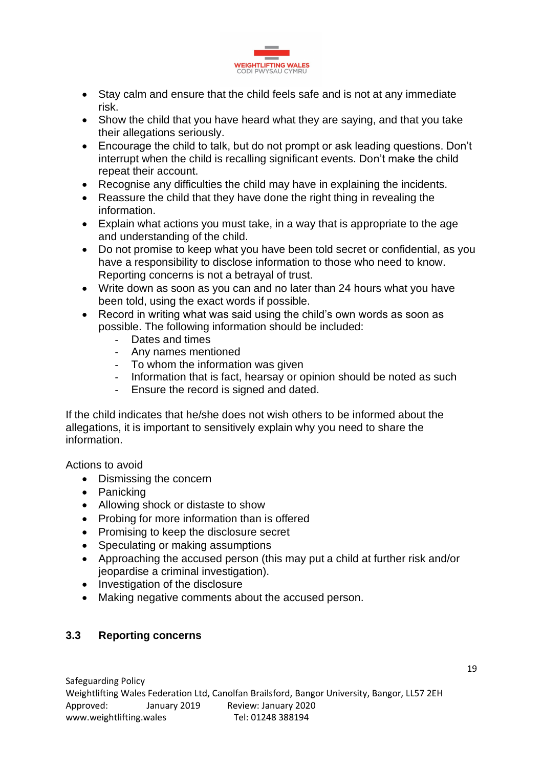

- Stay calm and ensure that the child feels safe and is not at any immediate risk.
- Show the child that you have heard what they are saying, and that you take their allegations seriously.
- Encourage the child to talk, but do not prompt or ask leading questions. Don't interrupt when the child is recalling significant events. Don't make the child repeat their account.
- Recognise any difficulties the child may have in explaining the incidents.
- Reassure the child that they have done the right thing in revealing the information.
- Explain what actions you must take, in a way that is appropriate to the age and understanding of the child.
- Do not promise to keep what you have been told secret or confidential, as you have a responsibility to disclose information to those who need to know. Reporting concerns is not a betrayal of trust.
- Write down as soon as you can and no later than 24 hours what you have been told, using the exact words if possible.
- Record in writing what was said using the child's own words as soon as possible. The following information should be included:
	- Dates and times
	- Any names mentioned
	- To whom the information was given
	- Information that is fact, hearsay or opinion should be noted as such
	- Ensure the record is signed and dated.

If the child indicates that he/she does not wish others to be informed about the allegations, it is important to sensitively explain why you need to share the information.

Actions to avoid

- Dismissing the concern
- Panicking
- Allowing shock or distaste to show
- Probing for more information than is offered
- Promising to keep the disclosure secret
- Speculating or making assumptions
- Approaching the accused person (this may put a child at further risk and/or jeopardise a criminal investigation).
- Investigation of the disclosure
- Making negative comments about the accused person.

#### **3.3 Reporting concerns**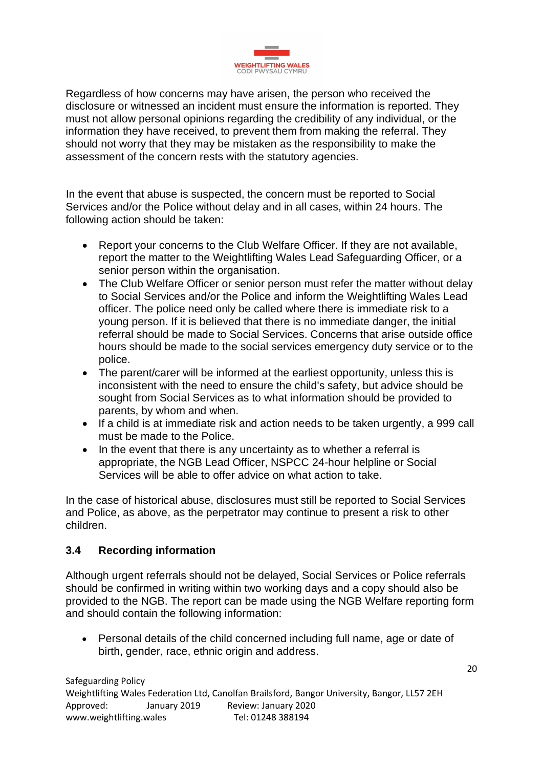

Regardless of how concerns may have arisen, the person who received the disclosure or witnessed an incident must ensure the information is reported. They must not allow personal opinions regarding the credibility of any individual, or the information they have received, to prevent them from making the referral. They should not worry that they may be mistaken as the responsibility to make the assessment of the concern rests with the statutory agencies.

In the event that abuse is suspected, the concern must be reported to Social Services and/or the Police without delay and in all cases, within 24 hours. The following action should be taken:

- Report your concerns to the Club Welfare Officer. If they are not available, report the matter to the Weightlifting Wales Lead Safeguarding Officer, or a senior person within the organisation.
- The Club Welfare Officer or senior person must refer the matter without delay to Social Services and/or the Police and inform the Weightlifting Wales Lead officer. The police need only be called where there is immediate risk to a young person. If it is believed that there is no immediate danger, the initial referral should be made to Social Services. Concerns that arise outside office hours should be made to the social services emergency duty service or to the police.
- The parent/carer will be informed at the earliest opportunity, unless this is inconsistent with the need to ensure the child's safety, but advice should be sought from Social Services as to what information should be provided to parents, by whom and when.
- If a child is at immediate risk and action needs to be taken urgently, a 999 call must be made to the Police.
- In the event that there is any uncertainty as to whether a referral is appropriate, the NGB Lead Officer, NSPCC 24-hour helpline or Social Services will be able to offer advice on what action to take.

In the case of historical abuse, disclosures must still be reported to Social Services and Police, as above, as the perpetrator may continue to present a risk to other children.

# **3.4 Recording information**

Although urgent referrals should not be delayed, Social Services or Police referrals should be confirmed in writing within two working days and a copy should also be provided to the NGB. The report can be made using the NGB Welfare reporting form and should contain the following information:

• Personal details of the child concerned including full name, age or date of birth, gender, race, ethnic origin and address.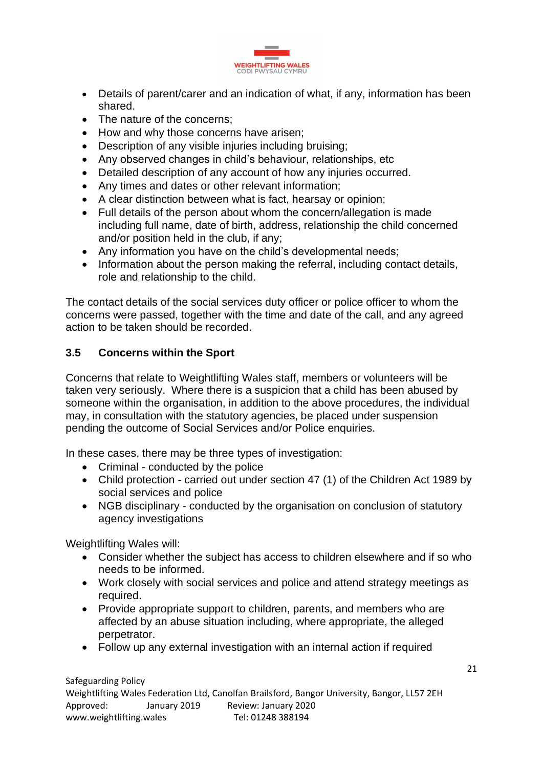

- Details of parent/carer and an indication of what, if any, information has been shared.
- The nature of the concerns:
- How and why those concerns have arisen:
- Description of any visible injuries including bruising;
- Any observed changes in child's behaviour, relationships, etc
- Detailed description of any account of how any injuries occurred.
- Any times and dates or other relevant information;
- A clear distinction between what is fact, hearsay or opinion;
- Full details of the person about whom the concern/allegation is made including full name, date of birth, address, relationship the child concerned and/or position held in the club, if any;
- Any information you have on the child's developmental needs;
- Information about the person making the referral, including contact details, role and relationship to the child.

The contact details of the social services duty officer or police officer to whom the concerns were passed, together with the time and date of the call, and any agreed action to be taken should be recorded.

# **3.5 Concerns within the Sport**

Concerns that relate to Weightlifting Wales staff, members or volunteers will be taken very seriously. Where there is a suspicion that a child has been abused by someone within the organisation, in addition to the above procedures, the individual may, in consultation with the statutory agencies, be placed under suspension pending the outcome of Social Services and/or Police enquiries.

In these cases, there may be three types of investigation:

- Criminal conducted by the police
- Child protection carried out under section 47 (1) of the Children Act 1989 by social services and police
- NGB disciplinary conducted by the organisation on conclusion of statutory agency investigations

Weightlifting Wales will:

- Consider whether the subject has access to children elsewhere and if so who needs to be informed.
- Work closely with social services and police and attend strategy meetings as required.
- Provide appropriate support to children, parents, and members who are affected by an abuse situation including, where appropriate, the alleged perpetrator.
- Follow up any external investigation with an internal action if required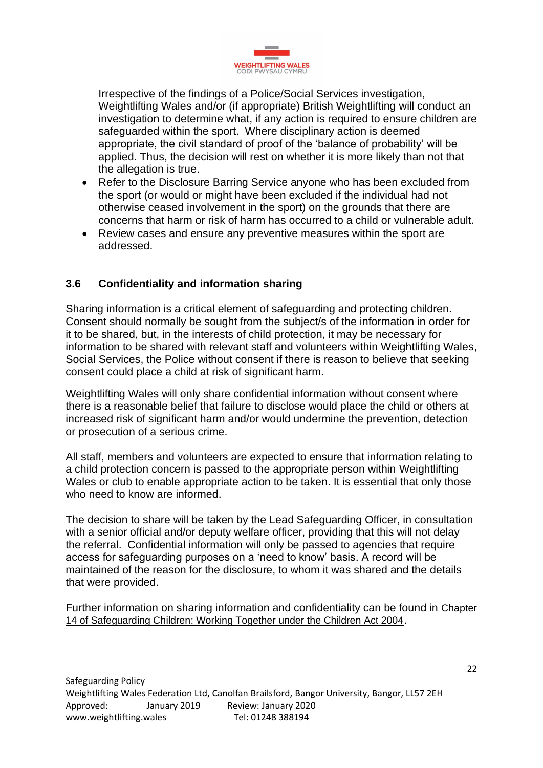

Irrespective of the findings of a Police/Social Services investigation, Weightlifting Wales and/or (if appropriate) British Weightlifting will conduct an investigation to determine what, if any action is required to ensure children are safeguarded within the sport. Where disciplinary action is deemed appropriate, the civil standard of proof of the 'balance of probability' will be applied. Thus, the decision will rest on whether it is more likely than not that the allegation is true.

- Refer to the Disclosure Barring Service anyone who has been excluded from the sport (or would or might have been excluded if the individual had not otherwise ceased involvement in the sport) on the grounds that there are concerns that harm or risk of harm has occurred to a child or vulnerable adult.
- Review cases and ensure any preventive measures within the sport are addressed.

# **3.6 Confidentiality and information sharing**

Sharing information is a critical element of safeguarding and protecting children. Consent should normally be sought from the subject/s of the information in order for it to be shared, but, in the interests of child protection, it may be necessary for information to be shared with relevant staff and volunteers within Weightlifting Wales, Social Services, the Police without consent if there is reason to believe that seeking consent could place a child at risk of significant harm.

Weightlifting Wales will only share confidential information without consent where there is a reasonable belief that failure to disclose would place the child or others at increased risk of significant harm and/or would undermine the prevention, detection or prosecution of a serious crime.

All staff, members and volunteers are expected to ensure that information relating to a child protection concern is passed to the appropriate person within Weightlifting Wales or club to enable appropriate action to be taken. It is essential that only those who need to know are informed.

The decision to share will be taken by the Lead Safeguarding Officer, in consultation with a senior official and/or deputy welfare officer, providing that this will not delay the referral. Confidential information will only be passed to agencies that require access for safeguarding purposes on a 'need to know' basis. A record will be maintained of the reason for the disclosure, to whom it was shared and the details that were provided.

Further information on sharing information and confidentiality can be found in [Chapter](http://wales.gov.uk/topics/childrenyoungpeople/publications/safeguardingunder2004act/?lang=en)  [14 of Safeguarding Children: Working Together under the Children Act 2004](http://wales.gov.uk/topics/childrenyoungpeople/publications/safeguardingunder2004act/?lang=en).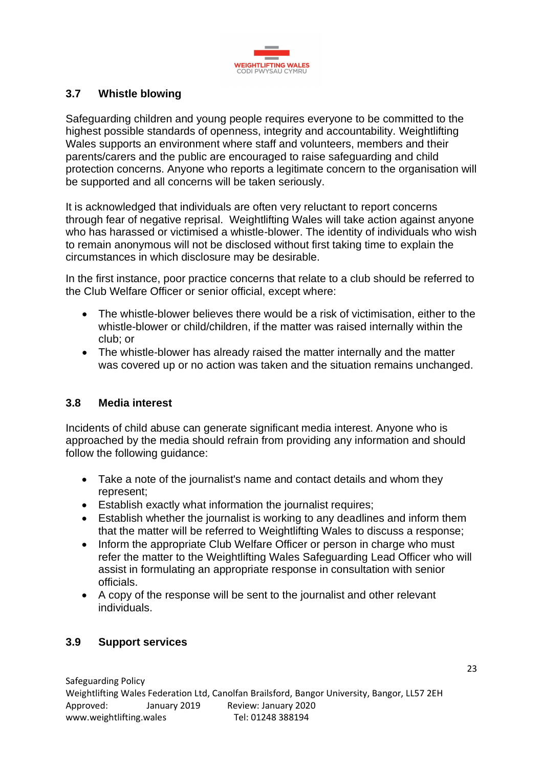

## **3.7 Whistle blowing**

Safeguarding children and young people requires everyone to be committed to the highest possible standards of openness, integrity and accountability. Weightlifting Wales supports an environment where staff and volunteers, members and their parents/carers and the public are encouraged to raise safeguarding and child protection concerns. Anyone who reports a legitimate concern to the organisation will be supported and all concerns will be taken seriously.

It is acknowledged that individuals are often very reluctant to report concerns through fear of negative reprisal. Weightlifting Wales will take action against anyone who has harassed or victimised a whistle-blower. The identity of individuals who wish to remain anonymous will not be disclosed without first taking time to explain the circumstances in which disclosure may be desirable.

In the first instance, poor practice concerns that relate to a club should be referred to the Club Welfare Officer or senior official, except where:

- The whistle-blower believes there would be a risk of victimisation, either to the whistle-blower or child/children, if the matter was raised internally within the club; or
- The whistle-blower has already raised the matter internally and the matter was covered up or no action was taken and the situation remains unchanged.

#### **3.8 Media interest**

Incidents of child abuse can generate significant media interest. Anyone who is approached by the media should refrain from providing any information and should follow the following guidance:

- Take a note of the journalist's name and contact details and whom they represent;
- Establish exactly what information the journalist requires;
- Establish whether the journalist is working to any deadlines and inform them that the matter will be referred to Weightlifting Wales to discuss a response;
- Inform the appropriate Club Welfare Officer or person in charge who must refer the matter to the Weightlifting Wales Safeguarding Lead Officer who will assist in formulating an appropriate response in consultation with senior officials.
- A copy of the response will be sent to the journalist and other relevant individuals.

#### **3.9 Support services**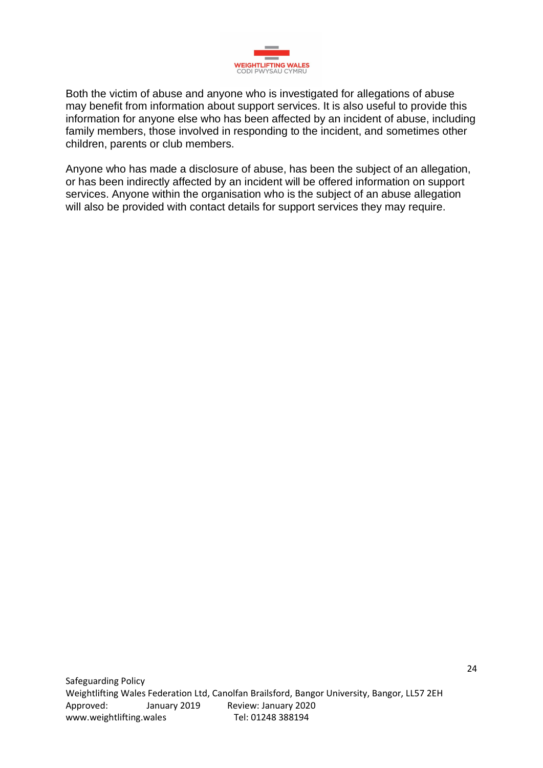

Both the victim of abuse and anyone who is investigated for allegations of abuse may benefit from information about support services. It is also useful to provide this information for anyone else who has been affected by an incident of abuse, including family members, those involved in responding to the incident, and sometimes other children, parents or club members.

Anyone who has made a disclosure of abuse, has been the subject of an allegation, or has been indirectly affected by an incident will be offered information on support services. Anyone within the organisation who is the subject of an abuse allegation will also be provided with contact details for support services they may require.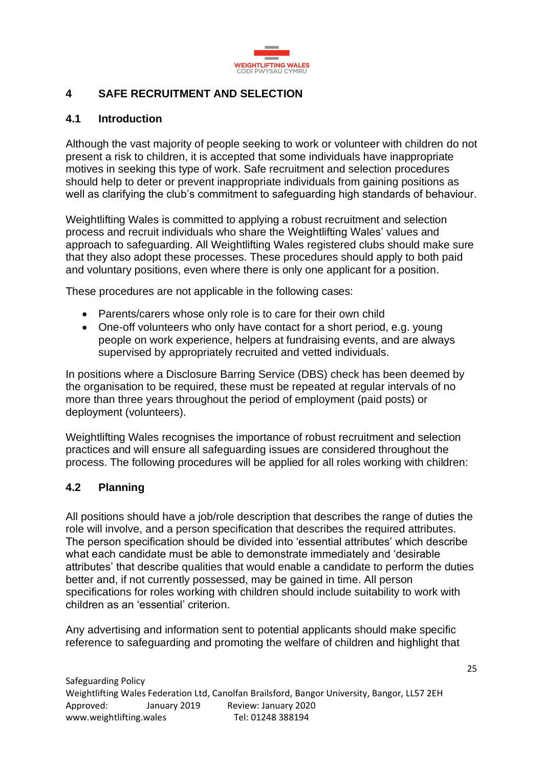

## **4 SAFE RECRUITMENT AND SELECTION**

## **4.1 Introduction**

Although the vast majority of people seeking to work or volunteer with children do not present a risk to children, it is accepted that some individuals have inappropriate motives in seeking this type of work. Safe recruitment and selection procedures should help to deter or prevent inappropriate individuals from gaining positions as well as clarifying the club's commitment to safeguarding high standards of behaviour.

Weightlifting Wales is committed to applying a robust recruitment and selection process and recruit individuals who share the Weightlifting Wales' values and approach to safeguarding. All Weightlifting Wales registered clubs should make sure that they also adopt these processes. These procedures should apply to both paid and voluntary positions, even where there is only one applicant for a position.

These procedures are not applicable in the following cases:

- Parents/carers whose only role is to care for their own child
- One-off volunteers who only have contact for a short period, e.g. young people on work experience, helpers at fundraising events, and are always supervised by appropriately recruited and vetted individuals.

In positions where a Disclosure Barring Service (DBS) check has been deemed by the organisation to be required, these must be repeated at regular intervals of no more than three years throughout the period of employment (paid posts) or deployment (volunteers).

Weightlifting Wales recognises the importance of robust recruitment and selection practices and will ensure all safeguarding issues are considered throughout the process. The following procedures will be applied for all roles working with children:

#### **4.2 Planning**

All positions should have a job/role description that describes the range of duties the role will involve, and a person specification that describes the required attributes. The person specification should be divided into 'essential attributes' which describe what each candidate must be able to demonstrate immediately and 'desirable attributes' that describe qualities that would enable a candidate to perform the duties better and, if not currently possessed, may be gained in time. All person specifications for roles working with children should include suitability to work with children as an 'essential' criterion.

Any advertising and information sent to potential applicants should make specific reference to safeguarding and promoting the welfare of children and highlight that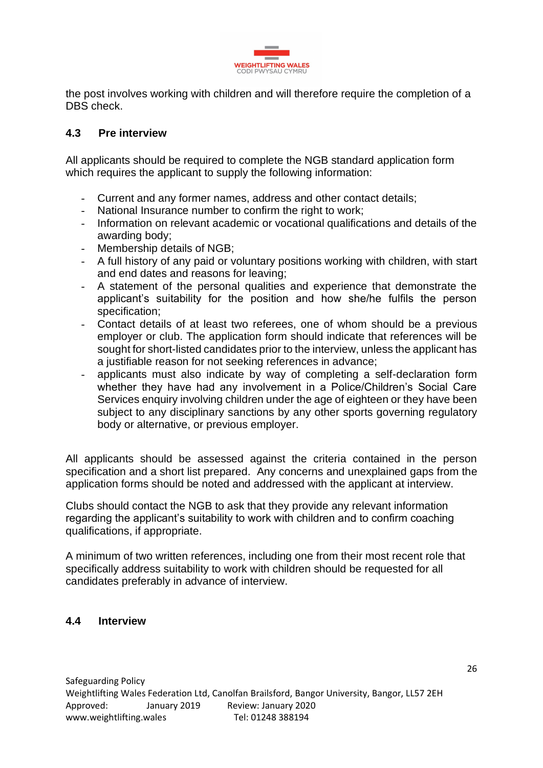

the post involves working with children and will therefore require the completion of a DBS check.

### **4.3 Pre interview**

All applicants should be required to complete the NGB standard application form which requires the applicant to supply the following information:

- Current and any former names, address and other contact details;
- National Insurance number to confirm the right to work;
- Information on relevant academic or vocational qualifications and details of the awarding body;
- Membership details of NGB;
- A full history of any paid or voluntary positions working with children, with start and end dates and reasons for leaving;
- A statement of the personal qualities and experience that demonstrate the applicant's suitability for the position and how she/he fulfils the person specification;
- Contact details of at least two referees, one of whom should be a previous employer or club. The application form should indicate that references will be sought for short-listed candidates prior to the interview, unless the applicant has a justifiable reason for not seeking references in advance;
- applicants must also indicate by way of completing a self-declaration form whether they have had any involvement in a Police/Children's Social Care Services enquiry involving children under the age of eighteen or they have been subject to any disciplinary sanctions by any other sports governing regulatory body or alternative, or previous employer.

All applicants should be assessed against the criteria contained in the person specification and a short list prepared. Any concerns and unexplained gaps from the application forms should be noted and addressed with the applicant at interview.

Clubs should contact the NGB to ask that they provide any relevant information regarding the applicant's suitability to work with children and to confirm coaching qualifications, if appropriate.

A minimum of two written references, including one from their most recent role that specifically address suitability to work with children should be requested for all candidates preferably in advance of interview.

#### **4.4 Interview**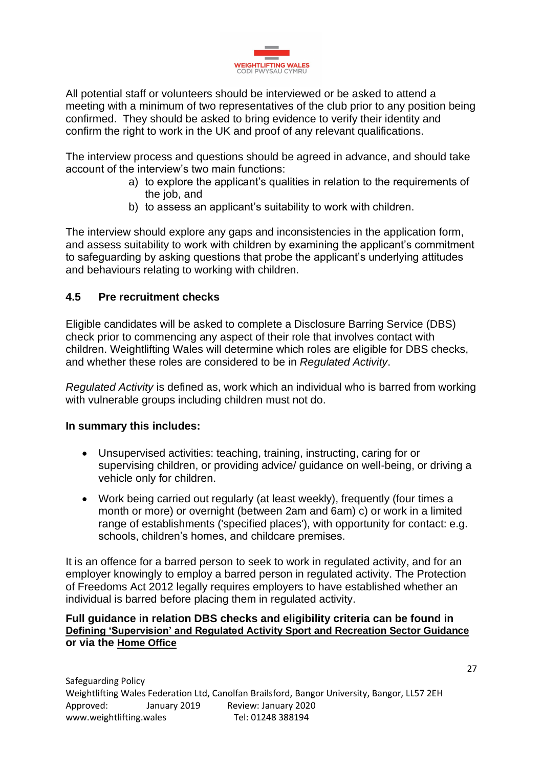

All potential staff or volunteers should be interviewed or be asked to attend a meeting with a minimum of two representatives of the club prior to any position being confirmed. They should be asked to bring evidence to verify their identity and confirm the right to work in the UK and proof of any relevant qualifications.

The interview process and questions should be agreed in advance, and should take account of the interview's two main functions:

- a) to explore the applicant's qualities in relation to the requirements of the job, and
- b) to assess an applicant's suitability to work with children.

The interview should explore any gaps and inconsistencies in the application form, and assess suitability to work with children by examining the applicant's commitment to safeguarding by asking questions that probe the applicant's underlying attitudes and behaviours relating to working with children.

## **4.5 Pre recruitment checks**

Eligible candidates will be asked to complete a Disclosure Barring Service (DBS) check prior to commencing any aspect of their role that involves contact with children. Weightlifting Wales will determine which roles are eligible for DBS checks, and whether these roles are considered to be in *Regulated Activity*.

*Regulated Activity* is defined as, work which an individual who is barred from working with vulnerable groups including children must not do.

#### **In summary this includes:**

- Unsupervised activities: teaching, training, instructing, caring for or supervising children, or providing advice/ guidance on well-being, or driving a vehicle only for children.
- Work being carried out regularly (at least weekly), frequently (four times a month or more) or overnight (between 2am and 6am) c) or work in a limited range of establishments ('specified places'), with opportunity for contact: e.g. schools, children's homes, and childcare premises.

It is an offence for a barred person to seek to work in regulated activity, and for an employer knowingly to employ a barred person in regulated activity. The Protection of Freedoms Act 2012 legally requires employers to have established whether an individual is barred before placing them in regulated activity.

#### **Full guidance in relation DBS checks and eligibility criteria can be found in [Defining 'Supervision' and Regulated Activity Sport and Recreation Sector Guidance](https://thecpsu.org.uk/resource-library/2013/defining-supervision-and-regulated-activity-sport-and-recreation-sector-guidance/) or via the [Home Office](https://www.gov.uk/government/publications/dbs-check-eligible-positions-guidance)**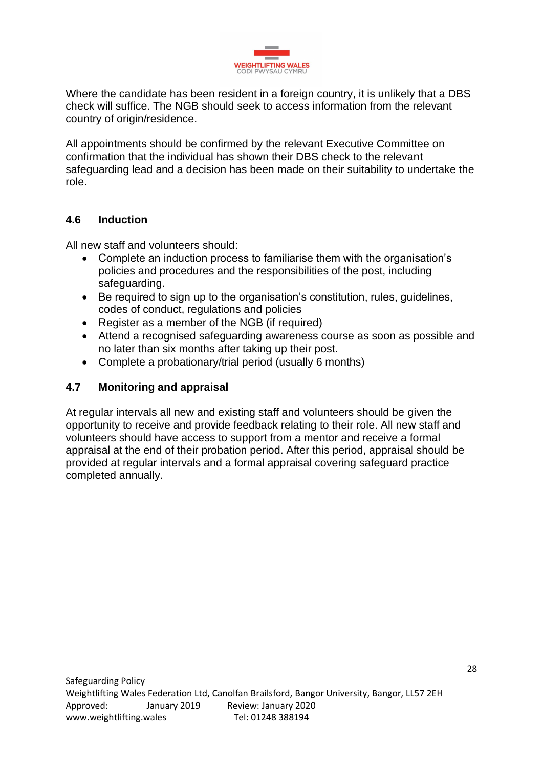

Where the candidate has been resident in a foreign country, it is unlikely that a DBS check will suffice. The NGB should seek to access information from the relevant country of origin/residence.

All appointments should be confirmed by the relevant Executive Committee on confirmation that the individual has shown their DBS check to the relevant safeguarding lead and a decision has been made on their suitability to undertake the role.

## **4.6 Induction**

All new staff and volunteers should:

- Complete an induction process to familiarise them with the organisation's policies and procedures and the responsibilities of the post, including safeguarding.
- Be required to sign up to the organisation's constitution, rules, guidelines, codes of conduct, regulations and policies
- Register as a member of the NGB (if required)
- Attend a recognised safeguarding awareness course as soon as possible and no later than six months after taking up their post.
- Complete a probationary/trial period (usually 6 months)

## **4.7 Monitoring and appraisal**

At regular intervals all new and existing staff and volunteers should be given the opportunity to receive and provide feedback relating to their role. All new staff and volunteers should have access to support from a mentor and receive a formal appraisal at the end of their probation period. After this period, appraisal should be provided at regular intervals and a formal appraisal covering safeguard practice completed annually.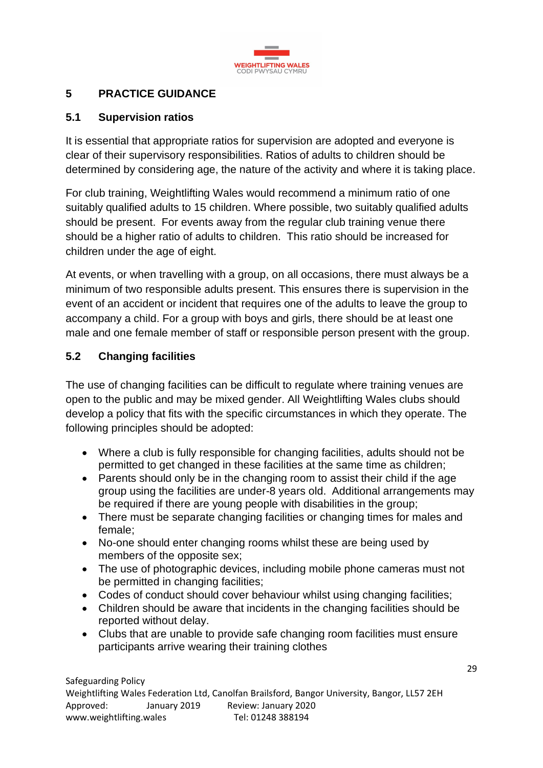

# **5 PRACTICE GUIDANCE**

## **5.1 Supervision ratios**

It is essential that appropriate ratios for supervision are adopted and everyone is clear of their supervisory responsibilities. Ratios of adults to children should be determined by considering age, the nature of the activity and where it is taking place.

For club training, Weightlifting Wales would recommend a minimum ratio of one suitably qualified adults to 15 children. Where possible, two suitably qualified adults should be present. For events away from the regular club training venue there should be a higher ratio of adults to children. This ratio should be increased for children under the age of eight.

At events, or when travelling with a group, on all occasions, there must always be a minimum of two responsible adults present. This ensures there is supervision in the event of an accident or incident that requires one of the adults to leave the group to accompany a child. For a group with boys and girls, there should be at least one male and one female member of staff or responsible person present with the group.

## **5.2 Changing facilities**

The use of changing facilities can be difficult to regulate where training venues are open to the public and may be mixed gender. All Weightlifting Wales clubs should develop a policy that fits with the specific circumstances in which they operate. The following principles should be adopted:

- Where a club is fully responsible for changing facilities, adults should not be permitted to get changed in these facilities at the same time as children;
- Parents should only be in the changing room to assist their child if the age group using the facilities are under-8 years old. Additional arrangements may be required if there are young people with disabilities in the group;
- There must be separate changing facilities or changing times for males and female;
- No-one should enter changing rooms whilst these are being used by members of the opposite sex;
- The use of photographic devices, including mobile phone cameras must not be permitted in changing facilities;
- Codes of conduct should cover behaviour whilst using changing facilities;
- Children should be aware that incidents in the changing facilities should be reported without delay.
- Clubs that are unable to provide safe changing room facilities must ensure participants arrive wearing their training clothes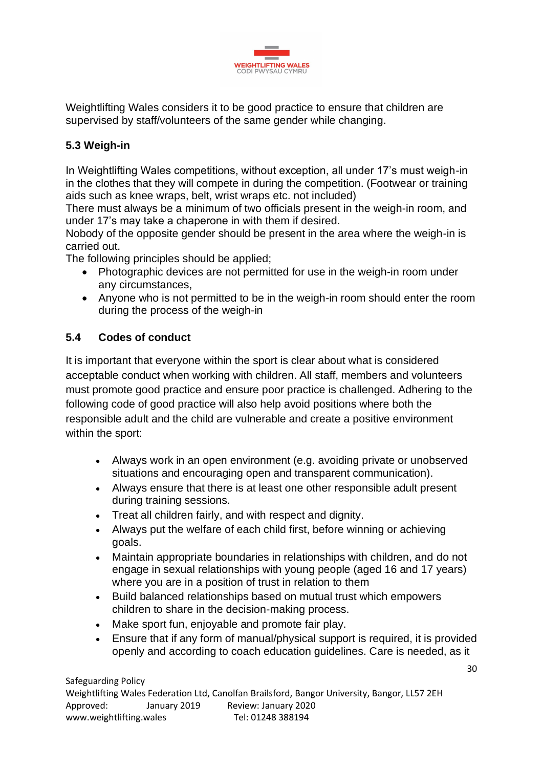

Weightlifting Wales considers it to be good practice to ensure that children are supervised by staff/volunteers of the same gender while changing.

# **5.3 Weigh-in**

In Weightlifting Wales competitions, without exception, all under 17's must weigh-in in the clothes that they will compete in during the competition. (Footwear or training aids such as knee wraps, belt, wrist wraps etc. not included)

There must always be a minimum of two officials present in the weigh-in room, and under 17's may take a chaperone in with them if desired.

Nobody of the opposite gender should be present in the area where the weigh-in is carried out.

The following principles should be applied;

- Photographic devices are not permitted for use in the weigh-in room under any circumstances,
- Anyone who is not permitted to be in the weigh-in room should enter the room during the process of the weigh-in

# **5.4 Codes of conduct**

It is important that everyone within the sport is clear about what is considered acceptable conduct when working with children. All staff, members and volunteers must promote good practice and ensure poor practice is challenged. Adhering to the following code of good practice will also help avoid positions where both the responsible adult and the child are vulnerable and create a positive environment within the sport:

- Always work in an open environment (e.g. avoiding private or unobserved situations and encouraging open and transparent communication).
- Always ensure that there is at least one other responsible adult present during training sessions.
- Treat all children fairly, and with respect and dignity.
- Always put the welfare of each child first, before winning or achieving goals.
- Maintain appropriate boundaries in relationships with children, and do not engage in sexual relationships with young people (aged 16 and 17 years) where you are in a position of trust in relation to them
- Build balanced relationships based on mutual trust which empowers children to share in the decision-making process.
- Make sport fun, enjoyable and promote fair play.
- Ensure that if any form of manual/physical support is required, it is provided openly and according to coach education guidelines. Care is needed, as it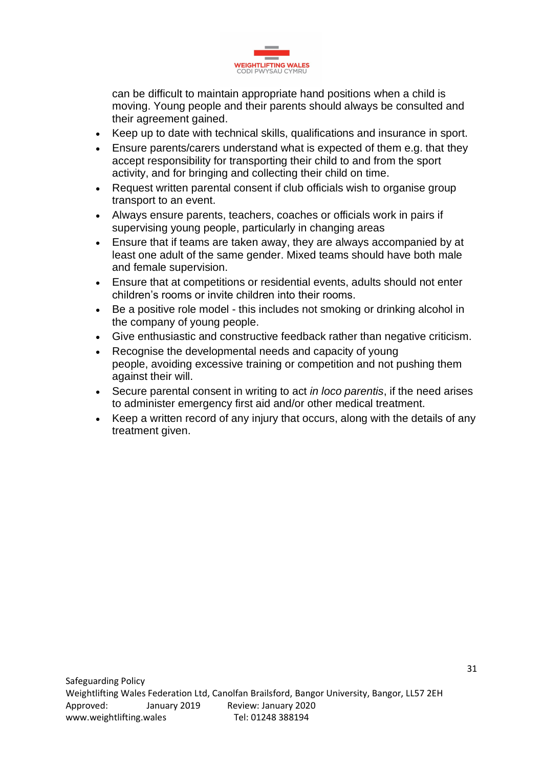

can be difficult to maintain appropriate hand positions when a child is moving. Young people and their parents should always be consulted and their agreement gained.

- Keep up to date with technical skills, qualifications and insurance in sport.
- Ensure parents/carers understand what is expected of them e.g. that they accept responsibility for transporting their child to and from the sport activity, and for bringing and collecting their child on time.
- Request written parental consent if club officials wish to organise group transport to an event.
- Always ensure parents, teachers, coaches or officials work in pairs if supervising young people, particularly in changing areas
- Ensure that if teams are taken away, they are always accompanied by at least one adult of the same gender. Mixed teams should have both male and female supervision.
- Ensure that at competitions or residential events, adults should not enter children's rooms or invite children into their rooms.
- Be a positive role model this includes not smoking or drinking alcohol in the company of young people.
- Give enthusiastic and constructive feedback rather than negative criticism.
- Recognise the developmental needs and capacity of young people, avoiding excessive training or competition and not pushing them against their will.
- Secure parental consent in writing to act *in loco parentis*, if the need arises to administer emergency first aid and/or other medical treatment.
- Keep a written record of any injury that occurs, along with the details of any treatment given.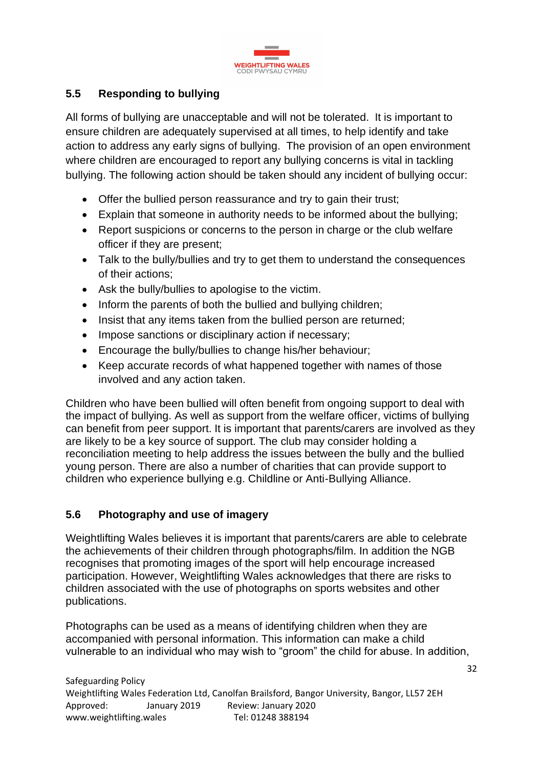

# **5.5 Responding to bullying**

All forms of bullying are unacceptable and will not be tolerated. It is important to ensure children are adequately supervised at all times, to help identify and take action to address any early signs of bullying. The provision of an open environment where children are encouraged to report any bullying concerns is vital in tackling bullying. The following action should be taken should any incident of bullying occur:

- Offer the bullied person reassurance and try to gain their trust;
- Explain that someone in authority needs to be informed about the bullying;
- Report suspicions or concerns to the person in charge or the club welfare officer if they are present;
- Talk to the bully/bullies and try to get them to understand the consequences of their actions;
- Ask the bully/bullies to apologise to the victim.
- Inform the parents of both the bullied and bullying children;
- Insist that any items taken from the bullied person are returned:
- Impose sanctions or disciplinary action if necessary;
- Encourage the bully/bullies to change his/her behaviour;
- Keep accurate records of what happened together with names of those involved and any action taken.

Children who have been bullied will often benefit from ongoing support to deal with the impact of bullying. As well as support from the welfare officer, victims of bullying can benefit from peer support. It is important that parents/carers are involved as they are likely to be a key source of support. The club may consider holding a reconciliation meeting to help address the issues between the bully and the bullied young person. There are also a number of charities that can provide support to children who experience bullying e.g. Childline or Anti-Bullying Alliance.

# **5.6 Photography and use of imagery**

Weightlifting Wales believes it is important that parents/carers are able to celebrate the achievements of their children through photographs/film. In addition the NGB recognises that promoting images of the sport will help encourage increased participation. However, Weightlifting Wales acknowledges that there are risks to children associated with the use of photographs on sports websites and other publications.

Photographs can be used as a means of identifying children when they are accompanied with personal information. This information can make a child vulnerable to an individual who may wish to "groom" the child for abuse. In addition,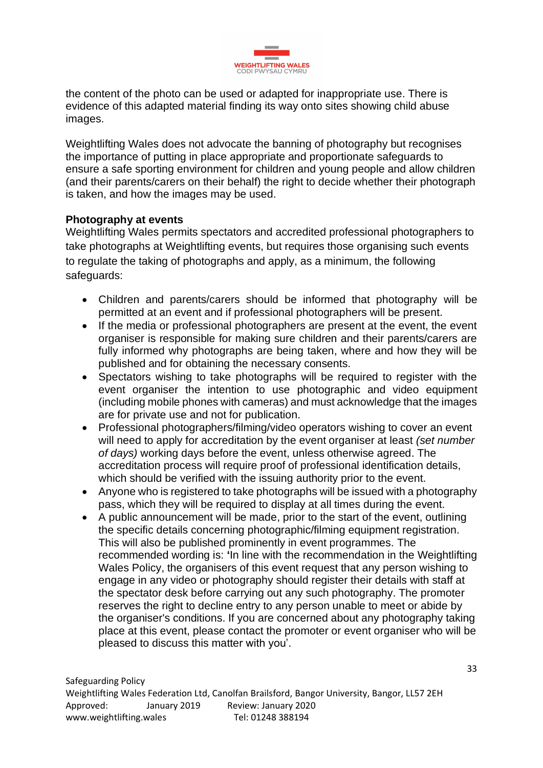

the content of the photo can be used or adapted for inappropriate use. There is evidence of this adapted material finding its way onto sites showing child abuse images.

Weightlifting Wales does not advocate the banning of photography but recognises the importance of putting in place appropriate and proportionate safeguards to ensure a safe sporting environment for children and young people and allow children (and their parents/carers on their behalf) the right to decide whether their photograph is taken, and how the images may be used.

### **Photography at events**

Weightlifting Wales permits spectators and accredited professional photographers to take photographs at Weightlifting events, but requires those organising such events to regulate the taking of photographs and apply, as a minimum, the following safeguards:

- Children and parents/carers should be informed that photography will be permitted at an event and if professional photographers will be present.
- If the media or professional photographers are present at the event, the event organiser is responsible for making sure children and their parents/carers are fully informed why photographs are being taken, where and how they will be published and for obtaining the necessary consents.
- Spectators wishing to take photographs will be required to register with the event organiser the intention to use photographic and video equipment (including mobile phones with cameras) and must acknowledge that the images are for private use and not for publication.
- Professional photographers/filming/video operators wishing to cover an event will need to apply for accreditation by the event organiser at least *(set number of days)* working days before the event, unless otherwise agreed. The accreditation process will require proof of professional identification details, which should be verified with the issuing authority prior to the event.
- Anyone who is registered to take photographs will be issued with a photography pass, which they will be required to display at all times during the event.
- A public announcement will be made, prior to the start of the event, outlining the specific details concerning photographic/filming equipment registration. This will also be published prominently in event programmes. The recommended wording is: **'**In line with the recommendation in the Weightlifting Wales Policy, the organisers of this event request that any person wishing to engage in any video or photography should register their details with staff at the spectator desk before carrying out any such photography. The promoter reserves the right to decline entry to any person unable to meet or abide by the organiser's conditions. If you are concerned about any photography taking place at this event, please contact the promoter or event organiser who will be pleased to discuss this matter with you'.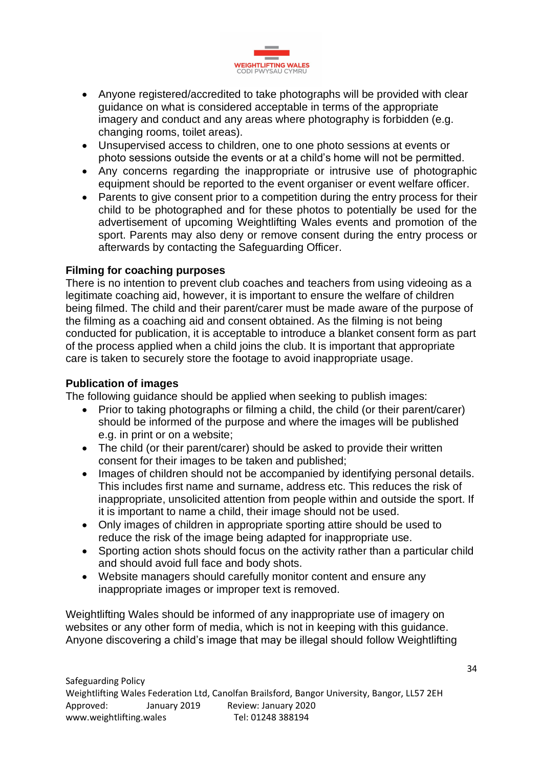

- Anyone registered/accredited to take photographs will be provided with clear guidance on what is considered acceptable in terms of the appropriate imagery and conduct and any areas where photography is forbidden (e.g. changing rooms, toilet areas).
- Unsupervised access to children, one to one photo sessions at events or photo sessions outside the events or at a child's home will not be permitted.
- Any concerns regarding the inappropriate or intrusive use of photographic equipment should be reported to the event organiser or event welfare officer.
- Parents to give consent prior to a competition during the entry process for their child to be photographed and for these photos to potentially be used for the advertisement of upcoming Weightlifting Wales events and promotion of the sport. Parents may also deny or remove consent during the entry process or afterwards by contacting the Safeguarding Officer.

#### **Filming for coaching purposes**

There is no intention to prevent club coaches and teachers from using videoing as a legitimate coaching aid, however, it is important to ensure the welfare of children being filmed. The child and their parent/carer must be made aware of the purpose of the filming as a coaching aid and consent obtained. As the filming is not being conducted for publication, it is acceptable to introduce a blanket consent form as part of the process applied when a child joins the club. It is important that appropriate care is taken to securely store the footage to avoid inappropriate usage.

### **Publication of images**

The following guidance should be applied when seeking to publish images:

- Prior to taking photographs or filming a child, the child (or their parent/carer) should be informed of the purpose and where the images will be published e.g. in print or on a website;
- The child (or their parent/carer) should be asked to provide their written consent for their images to be taken and published;
- Images of children should not be accompanied by identifying personal details. This includes first name and surname, address etc. This reduces the risk of inappropriate, unsolicited attention from people within and outside the sport. If it is important to name a child, their image should not be used.
- Only images of children in appropriate sporting attire should be used to reduce the risk of the image being adapted for inappropriate use.
- Sporting action shots should focus on the activity rather than a particular child and should avoid full face and body shots.
- Website managers should carefully monitor content and ensure any inappropriate images or improper text is removed.

Weightlifting Wales should be informed of any inappropriate use of imagery on websites or any other form of media, which is not in keeping with this guidance. Anyone discovering a child's image that may be illegal should follow Weightlifting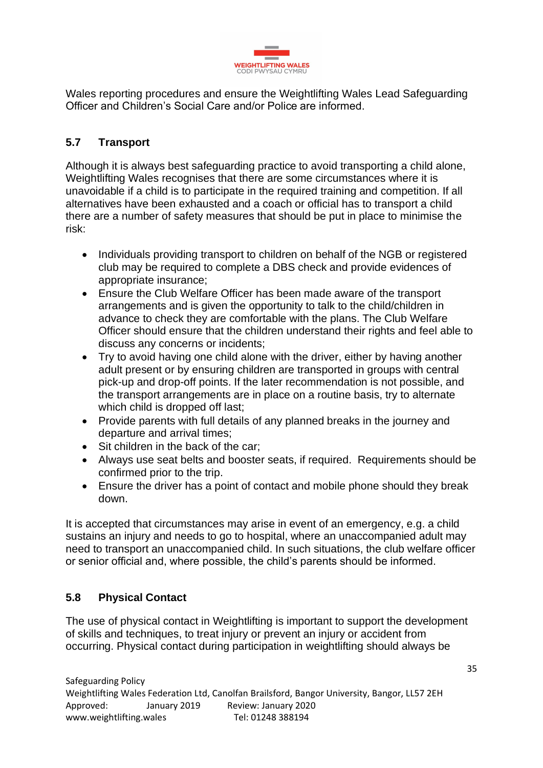

Wales reporting procedures and ensure the Weightlifting Wales Lead Safeguarding Officer and Children's Social Care and/or Police are informed.

# **5.7 Transport**

Although it is always best safeguarding practice to avoid transporting a child alone, Weightlifting Wales recognises that there are some circumstances where it is unavoidable if a child is to participate in the required training and competition. If all alternatives have been exhausted and a coach or official has to transport a child there are a number of safety measures that should be put in place to minimise the risk:

- Individuals providing transport to children on behalf of the NGB or registered club may be required to complete a DBS check and provide evidences of appropriate insurance;
- Ensure the Club Welfare Officer has been made aware of the transport arrangements and is given the opportunity to talk to the child/children in advance to check they are comfortable with the plans. The Club Welfare Officer should ensure that the children understand their rights and feel able to discuss any concerns or incidents;
- Try to avoid having one child alone with the driver, either by having another adult present or by ensuring children are transported in groups with central pick-up and drop-off points. If the later recommendation is not possible, and the transport arrangements are in place on a routine basis, try to alternate which child is dropped off last;
- Provide parents with full details of any planned breaks in the journey and departure and arrival times;
- Sit children in the back of the car;
- Always use seat belts and booster seats, if required. Requirements should be confirmed prior to the trip.
- Ensure the driver has a point of contact and mobile phone should they break down.

It is accepted that circumstances may arise in event of an emergency, e.g. a child sustains an injury and needs to go to hospital, where an unaccompanied adult may need to transport an unaccompanied child. In such situations, the club welfare officer or senior official and, where possible, the child's parents should be informed.

# **5.8 Physical Contact**

The use of physical contact in Weightlifting is important to support the development of skills and techniques, to treat injury or prevent an injury or accident from occurring. Physical contact during participation in weightlifting should always be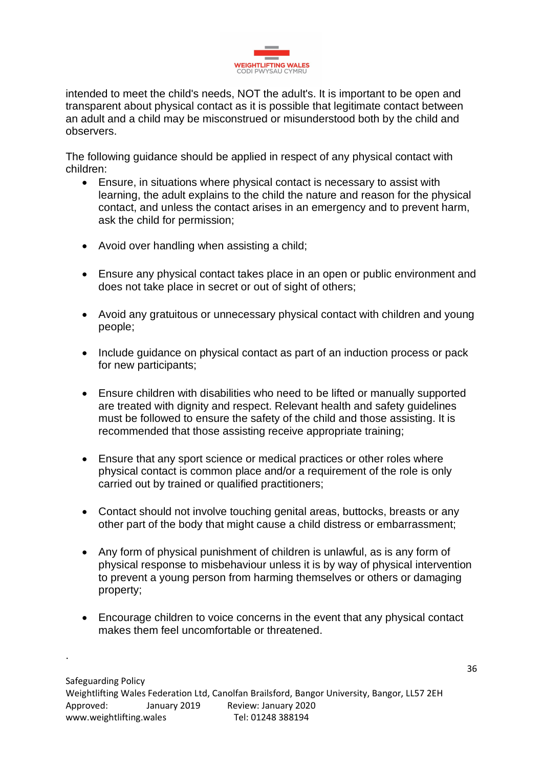

intended to meet the child's needs, NOT the adult's. It is important to be open and transparent about physical contact as it is possible that legitimate contact between an adult and a child may be misconstrued or misunderstood both by the child and observers.

The following guidance should be applied in respect of any physical contact with children:

- Ensure, in situations where physical contact is necessary to assist with learning, the adult explains to the child the nature and reason for the physical contact, and unless the contact arises in an emergency and to prevent harm, ask the child for permission;
- Avoid over handling when assisting a child;
- Ensure any physical contact takes place in an open or public environment and does not take place in secret or out of sight of others;
- Avoid any gratuitous or unnecessary physical contact with children and young people;
- Include guidance on physical contact as part of an induction process or pack for new participants;
- Ensure children with disabilities who need to be lifted or manually supported are treated with dignity and respect. Relevant health and safety guidelines must be followed to ensure the safety of the child and those assisting. It is recommended that those assisting receive appropriate training;
- Ensure that any sport science or medical practices or other roles where physical contact is common place and/or a requirement of the role is only carried out by trained or qualified practitioners;
- Contact should not involve touching genital areas, buttocks, breasts or any other part of the body that might cause a child distress or embarrassment;
- Any form of physical punishment of children is unlawful, as is any form of physical response to misbehaviour unless it is by way of physical intervention to prevent a young person from harming themselves or others or damaging property;
- Encourage children to voice concerns in the event that any physical contact makes them feel uncomfortable or threatened.

.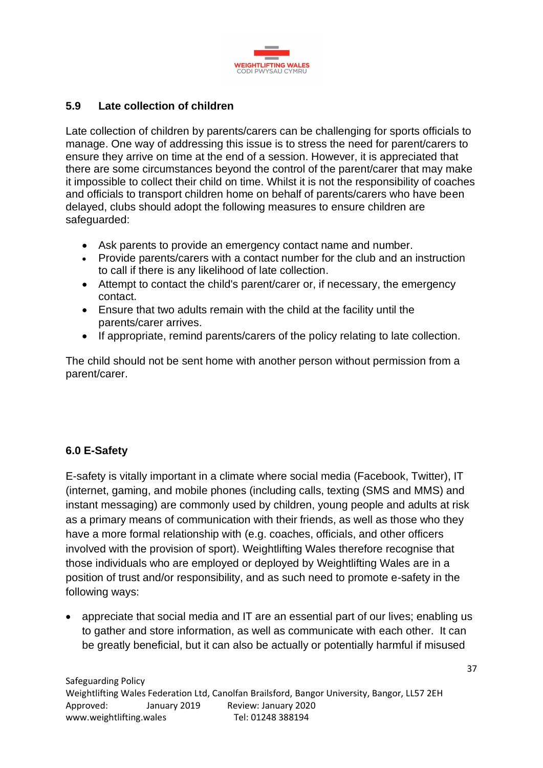

## **5.9 Late collection of children**

Late collection of children by parents/carers can be challenging for sports officials to manage. One way of addressing this issue is to stress the need for parent/carers to ensure they arrive on time at the end of a session. However, it is appreciated that there are some circumstances beyond the control of the parent/carer that may make it impossible to collect their child on time. Whilst it is not the responsibility of coaches and officials to transport children home on behalf of parents/carers who have been delayed, clubs should adopt the following measures to ensure children are safeguarded:

- Ask parents to provide an emergency contact name and number.
- Provide parents/carers with a contact number for the club and an instruction to call if there is any likelihood of late collection.
- Attempt to contact the child's parent/carer or, if necessary, the emergency contact.
- Ensure that two adults remain with the child at the facility until the parents/carer arrives.
- If appropriate, remind parents/carers of the policy relating to late collection.

The child should not be sent home with another person without permission from a parent/carer.

## **6.0 E-Safety**

E-safety is vitally important in a climate where social media (Facebook, Twitter), IT (internet, gaming, and mobile phones (including calls, texting (SMS and MMS) and instant messaging) are commonly used by children, young people and adults at risk as a primary means of communication with their friends, as well as those who they have a more formal relationship with (e.g. coaches, officials, and other officers involved with the provision of sport). Weightlifting Wales therefore recognise that those individuals who are employed or deployed by Weightlifting Wales are in a position of trust and/or responsibility, and as such need to promote e-safety in the following ways:

• appreciate that social media and IT are an essential part of our lives; enabling us to gather and store information, as well as communicate with each other. It can be greatly beneficial, but it can also be actually or potentially harmful if misused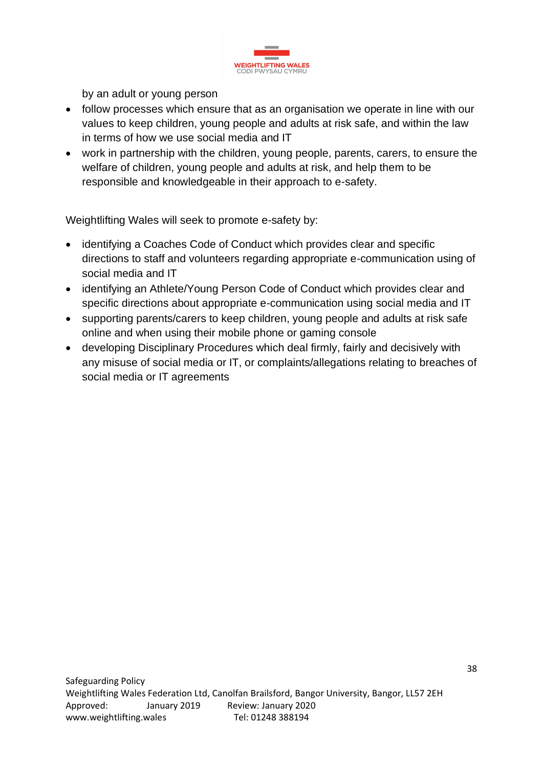

by an adult or young person

- follow processes which ensure that as an organisation we operate in line with our values to keep children, young people and adults at risk safe, and within the law in terms of how we use social media and IT
- work in partnership with the children, young people, parents, carers, to ensure the welfare of children, young people and adults at risk, and help them to be responsible and knowledgeable in their approach to e-safety.

Weightlifting Wales will seek to promote e-safety by:

- identifying a Coaches Code of Conduct which provides clear and specific directions to staff and volunteers regarding appropriate e-communication using of social media and IT
- identifying an Athlete/Young Person Code of Conduct which provides clear and specific directions about appropriate e-communication using social media and IT
- supporting parents/carers to keep children, young people and adults at risk safe online and when using their mobile phone or gaming console
- developing Disciplinary Procedures which deal firmly, fairly and decisively with any misuse of social media or IT, or complaints/allegations relating to breaches of social media or IT agreements